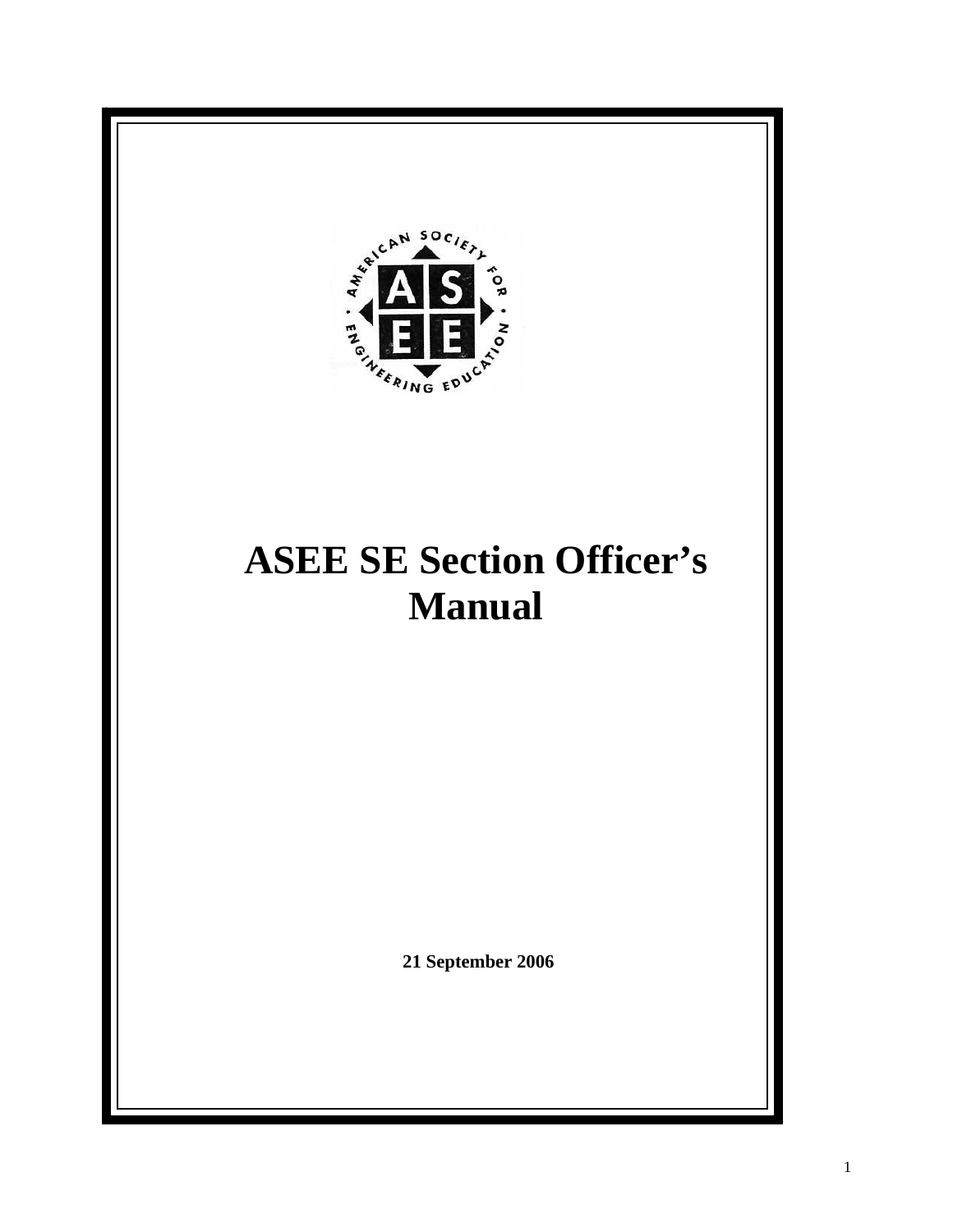

# **ASEE SE Section Officer's Manual**

 **21 September 2006**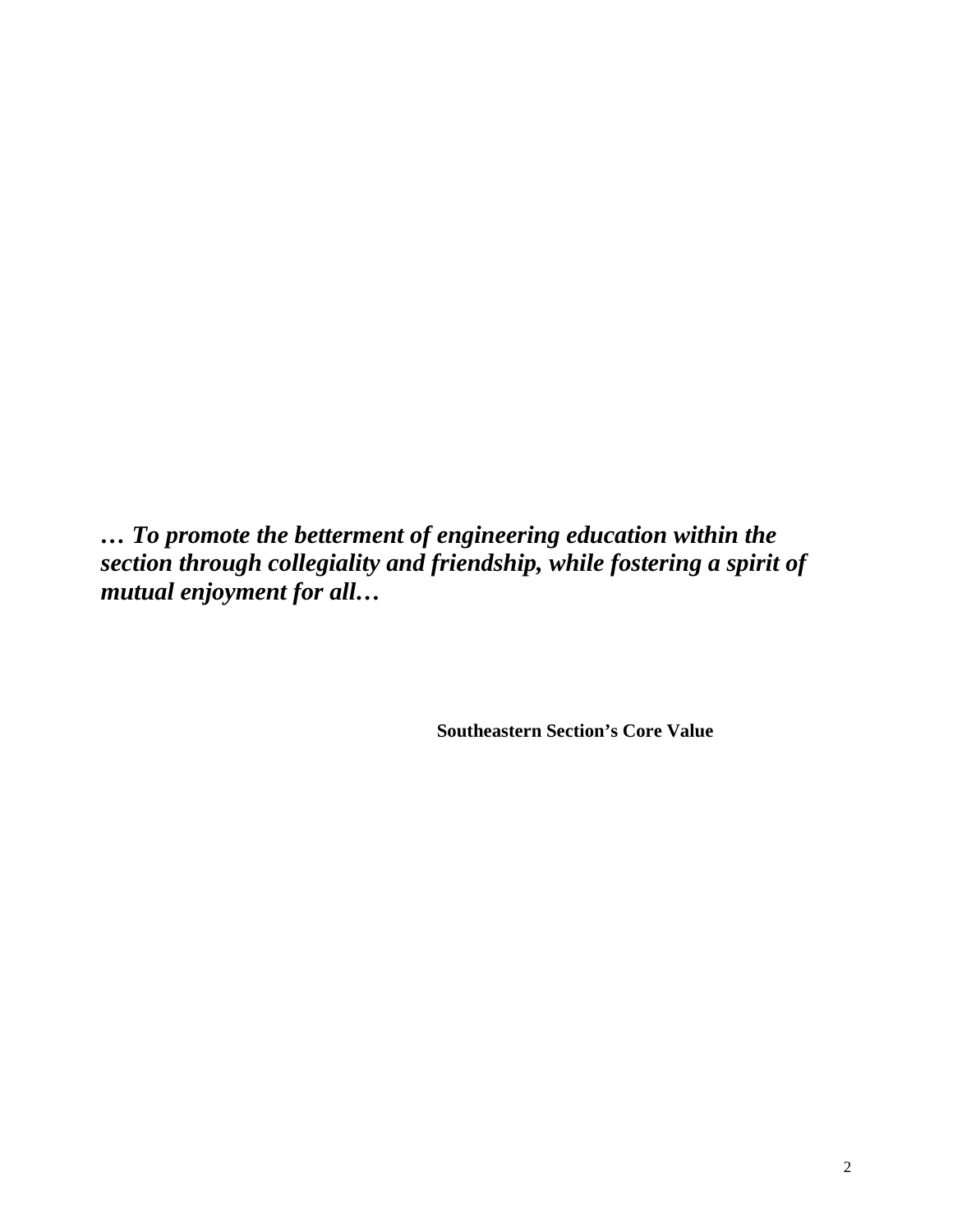*… To promote the betterment of engineering education within the section through collegiality and friendship, while fostering a spirit of mutual enjoyment for all…* 

 **Southeastern Section's Core Value**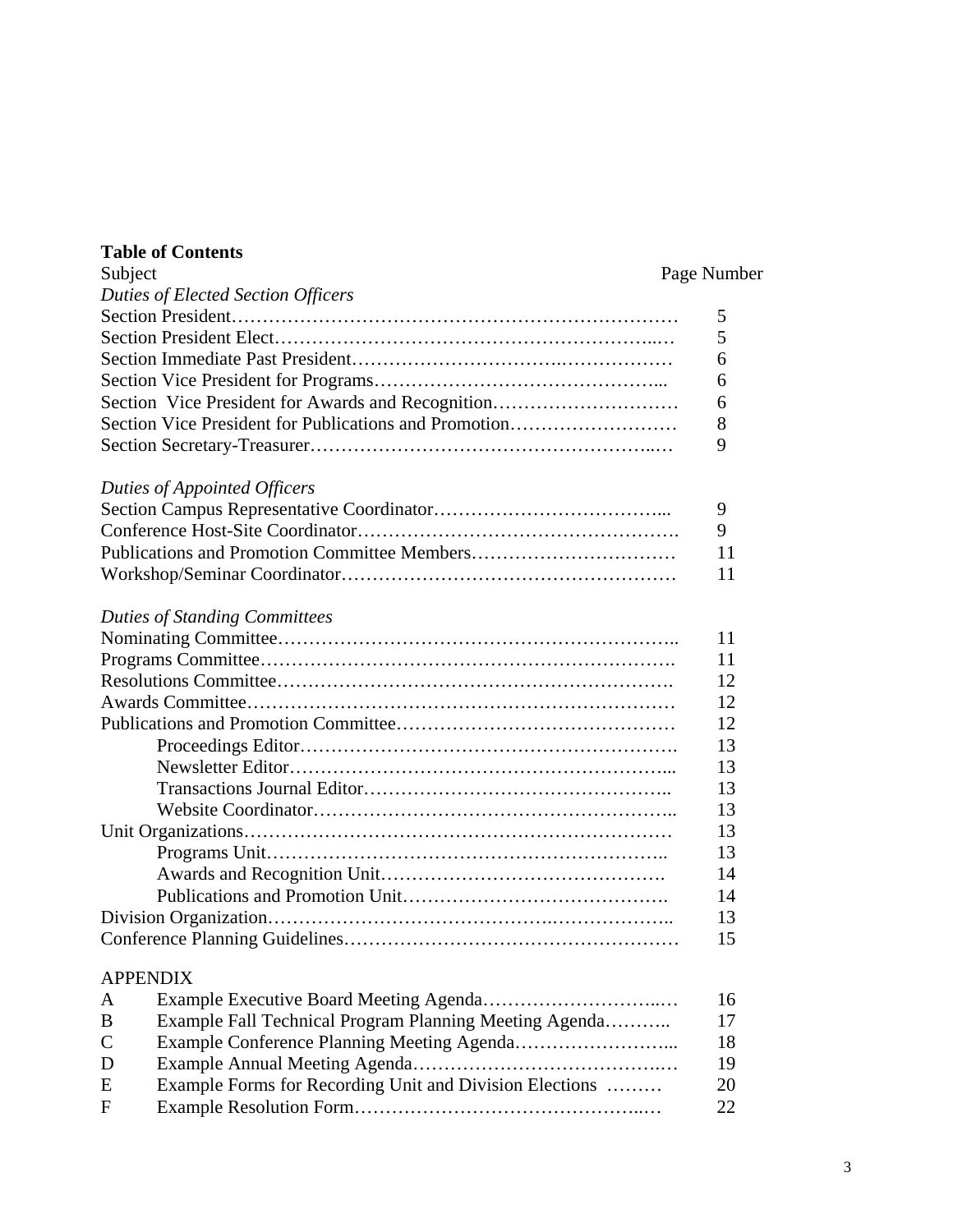## **Table of Contents**

## Page Number

|                 | Duties of Elected Section Officers                      |    |
|-----------------|---------------------------------------------------------|----|
|                 |                                                         | 5  |
|                 |                                                         | 5  |
|                 |                                                         | 6  |
|                 |                                                         | 6  |
|                 | Section Vice President for Awards and Recognition       | 6  |
|                 | Section Vice President for Publications and Promotion   | 8  |
|                 |                                                         | 9  |
|                 |                                                         |    |
|                 | Duties of Appointed Officers                            |    |
|                 |                                                         | 9  |
|                 |                                                         | 9  |
|                 |                                                         | 11 |
|                 |                                                         | 11 |
|                 |                                                         |    |
|                 | <b>Duties of Standing Committees</b>                    |    |
|                 |                                                         | 11 |
|                 |                                                         | 11 |
|                 |                                                         | 12 |
|                 |                                                         | 12 |
|                 |                                                         | 12 |
|                 |                                                         | 13 |
|                 |                                                         | 13 |
|                 |                                                         | 13 |
|                 |                                                         | 13 |
|                 |                                                         | 13 |
|                 |                                                         | 13 |
|                 |                                                         | 14 |
|                 |                                                         | 14 |
|                 |                                                         | 13 |
|                 |                                                         | 15 |
|                 |                                                         |    |
| <b>APPENDIX</b> |                                                         |    |
| A               |                                                         | 16 |
| B               | Example Fall Technical Program Planning Meeting Agenda  | 17 |
| $\mathsf{C}$    |                                                         | 18 |
| D               |                                                         | 19 |
| E               | Example Forms for Recording Unit and Division Elections | 20 |
| $\mathbf{F}$    |                                                         | 22 |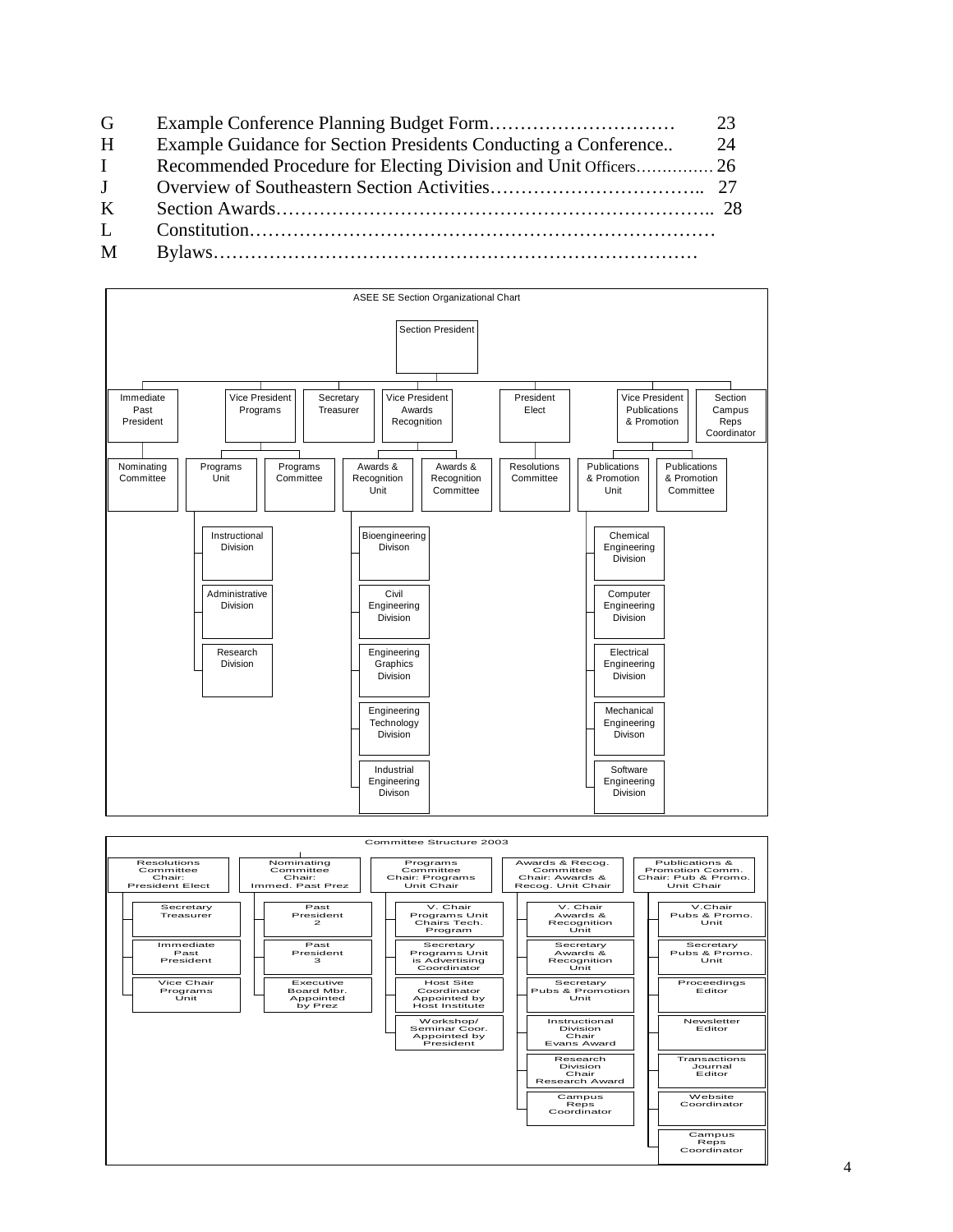- G Example Conference Planning Budget Form………………………… 23
- H Example Guidance for Section Presidents Conducting a Conference.. 24
- I Recommended Procedure for Electing Division and Unit Officers…………… 26 J Overview of Southeastern Section Activities…………………………….. 27
- K Section Awards…………………………………………………………….. 28
- L Constitution…………………………………………………………………
- M Bylaws……………………………………………………………………



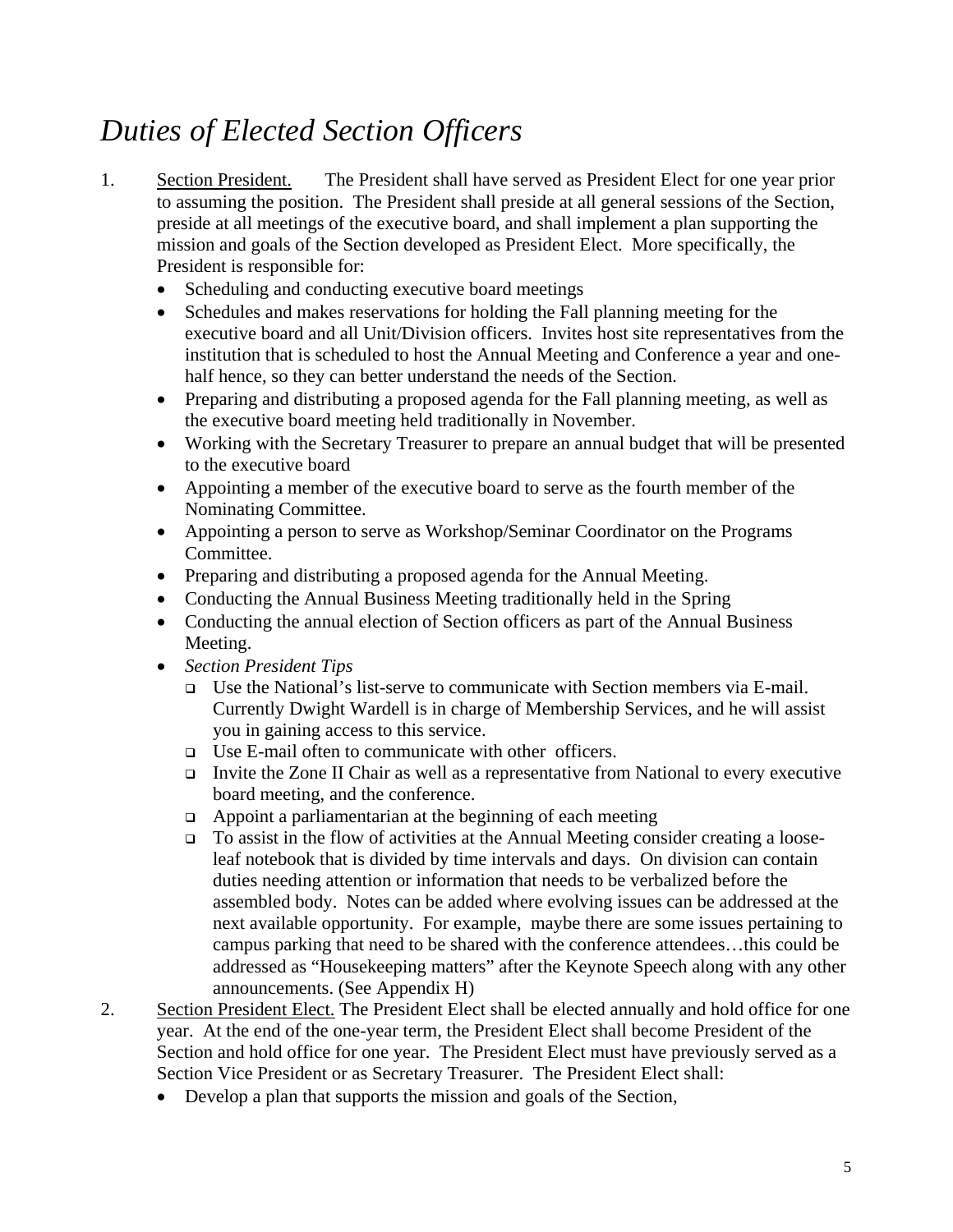## *Duties of Elected Section Officers*

- 1. Section President. The President shall have served as President Elect for one year prior to assuming the position. The President shall preside at all general sessions of the Section, preside at all meetings of the executive board, and shall implement a plan supporting the mission and goals of the Section developed as President Elect. More specifically, the President is responsible for:
	- Scheduling and conducting executive board meetings
	- Schedules and makes reservations for holding the Fall planning meeting for the executive board and all Unit/Division officers. Invites host site representatives from the institution that is scheduled to host the Annual Meeting and Conference a year and onehalf hence, so they can better understand the needs of the Section.
	- Preparing and distributing a proposed agenda for the Fall planning meeting, as well as the executive board meeting held traditionally in November.
	- Working with the Secretary Treasurer to prepare an annual budget that will be presented to the executive board
	- Appointing a member of the executive board to serve as the fourth member of the Nominating Committee.
	- Appointing a person to serve as Workshop/Seminar Coordinator on the Programs Committee.
	- Preparing and distributing a proposed agenda for the Annual Meeting.
	- Conducting the Annual Business Meeting traditionally held in the Spring
	- Conducting the annual election of Section officers as part of the Annual Business Meeting.
	- *Section President Tips* 
		- Use the National's list-serve to communicate with Section members via E-mail. Currently Dwight Wardell is in charge of Membership Services, and he will assist you in gaining access to this service.
		- Use E-mail often to communicate with other officers.
		- Invite the Zone II Chair as well as a representative from National to every executive board meeting, and the conference.
		- $\Box$  Appoint a parliamentarian at the beginning of each meeting
		- To assist in the flow of activities at the Annual Meeting consider creating a looseleaf notebook that is divided by time intervals and days. On division can contain duties needing attention or information that needs to be verbalized before the assembled body. Notes can be added where evolving issues can be addressed at the next available opportunity. For example, maybe there are some issues pertaining to campus parking that need to be shared with the conference attendees…this could be addressed as "Housekeeping matters" after the Keynote Speech along with any other announcements. (See Appendix H)
- 2. Section President Elect. The President Elect shall be elected annually and hold office for one year. At the end of the one-year term, the President Elect shall become President of the Section and hold office for one year. The President Elect must have previously served as a Section Vice President or as Secretary Treasurer. The President Elect shall:
	- Develop a plan that supports the mission and goals of the Section.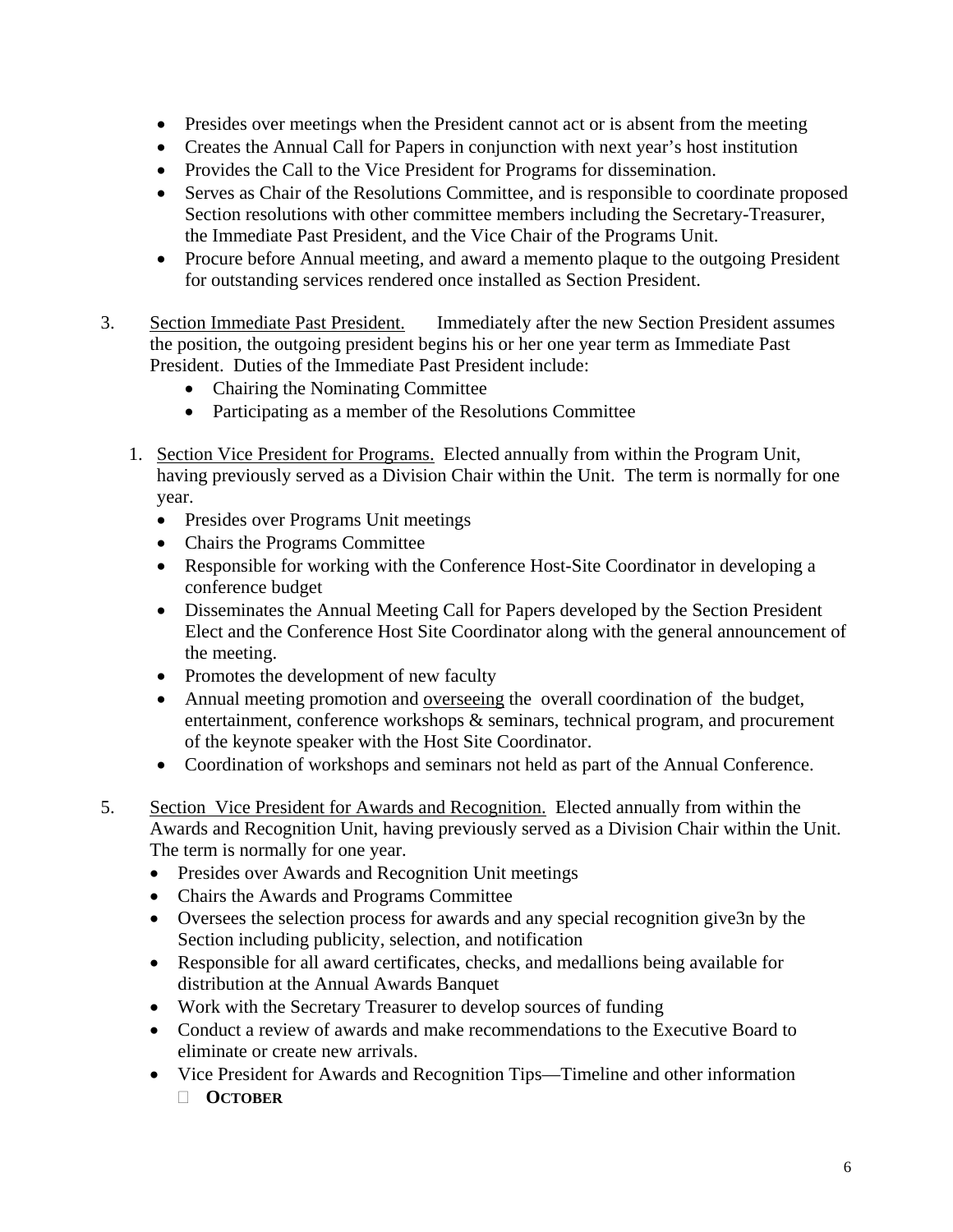- Presides over meetings when the President cannot act or is absent from the meeting
- Creates the Annual Call for Papers in conjunction with next year's host institution
- Provides the Call to the Vice President for Programs for dissemination.
- Serves as Chair of the Resolutions Committee, and is responsible to coordinate proposed Section resolutions with other committee members including the Secretary-Treasurer, the Immediate Past President, and the Vice Chair of the Programs Unit.
- Procure before Annual meeting, and award a memento plaque to the outgoing President for outstanding services rendered once installed as Section President.
- 3. Section Immediate Past President. Immediately after the new Section President assumes the position, the outgoing president begins his or her one year term as Immediate Past President. Duties of the Immediate Past President include:
	- Chairing the Nominating Committee
	- Participating as a member of the Resolutions Committee
	- 1. Section Vice President for Programs. Elected annually from within the Program Unit, having previously served as a Division Chair within the Unit. The term is normally for one year.
		- Presides over Programs Unit meetings
		- Chairs the Programs Committee
		- Responsible for working with the Conference Host-Site Coordinator in developing a conference budget
		- Disseminates the Annual Meeting Call for Papers developed by the Section President Elect and the Conference Host Site Coordinator along with the general announcement of the meeting.
		- Promotes the development of new faculty
		- Annual meeting promotion and overseeing the overall coordination of the budget, entertainment, conference workshops & seminars, technical program, and procurement of the keynote speaker with the Host Site Coordinator.
		- Coordination of workshops and seminars not held as part of the Annual Conference.
- 5. Section Vice President for Awards and Recognition. Elected annually from within the Awards and Recognition Unit, having previously served as a Division Chair within the Unit. The term is normally for one year.
	- Presides over Awards and Recognition Unit meetings
	- Chairs the Awards and Programs Committee
	- Oversees the selection process for awards and any special recognition give3n by the Section including publicity, selection, and notification
	- Responsible for all award certificates, checks, and medallions being available for distribution at the Annual Awards Banquet
	- Work with the Secretary Treasurer to develop sources of funding
	- Conduct a review of awards and make recommendations to the Executive Board to eliminate or create new arrivals.
	- Vice President for Awards and Recognition Tips—Timeline and other information **OCTOBER**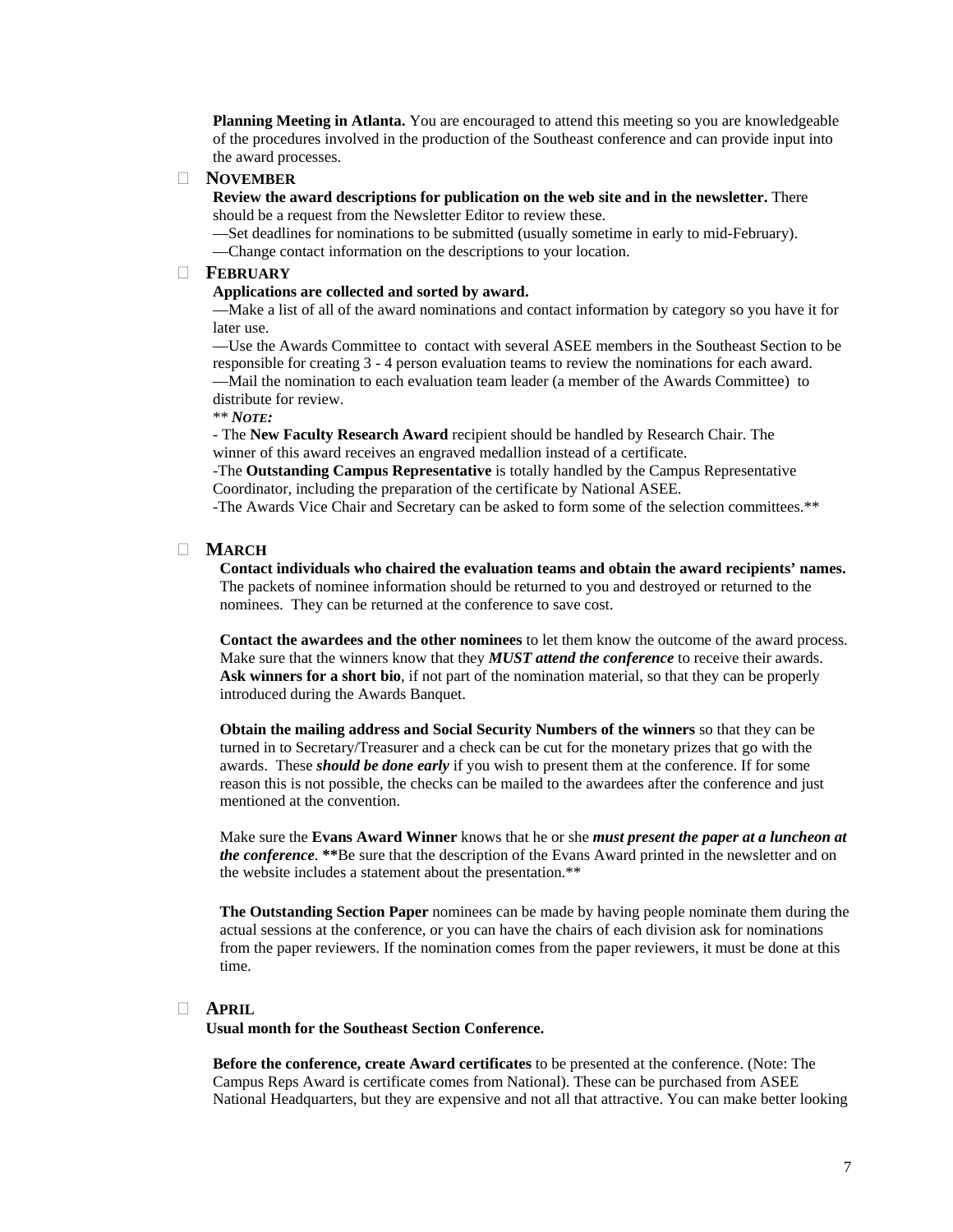**Planning Meeting in Atlanta.** You are encouraged to attend this meeting so you are knowledgeable of the procedures involved in the production of the Southeast conference and can provide input into the award processes.

#### **NOVEMBER**

**Review the award descriptions for publication on the web site and in the newsletter.** There should be a request from the Newsletter Editor to review these.

—Set deadlines for nominations to be submitted (usually sometime in early to mid-February).

—Change contact information on the descriptions to your location.

#### **FEBRUARY**

#### **Applications are collected and sorted by award.**

—Make a list of all of the award nominations and contact information by category so you have it for later use.

—Use the Awards Committee to contact with several ASEE members in the Southeast Section to be responsible for creating 3 - 4 person evaluation teams to review the nominations for each award. —Mail the nomination to each evaluation team leader (a member of the Awards Committee) to distribute for review.

\*\* *NOTE:*

- The **New Faculty Research Award** recipient should be handled by Research Chair. The winner of this award receives an engraved medallion instead of a certificate.

-The **Outstanding Campus Representative** is totally handled by the Campus Representative Coordinator, including the preparation of the certificate by National ASEE.

-The Awards Vice Chair and Secretary can be asked to form some of the selection committees.\*\*

#### **MARCH**

**Contact individuals who chaired the evaluation teams and obtain the award recipients' names.** The packets of nominee information should be returned to you and destroyed or returned to the nominees. They can be returned at the conference to save cost.

**Contact the awardees and the other nominees** to let them know the outcome of the award process. Make sure that the winners know that they *MUST attend the conference* to receive their awards. **Ask winners for a short bio**, if not part of the nomination material, so that they can be properly introduced during the Awards Banquet.

**Obtain the mailing address and Social Security Numbers of the winners** so that they can be turned in to Secretary/Treasurer and a check can be cut for the monetary prizes that go with the awards. These *should be done early* if you wish to present them at the conference. If for some reason this is not possible, the checks can be mailed to the awardees after the conference and just mentioned at the convention.

Make sure the **Evans Award Winner** knows that he or she *must present the paper at a luncheon at the conference*. **\*\***Be sure that the description of the Evans Award printed in the newsletter and on the website includes a statement about the presentation.\*\*

**The Outstanding Section Paper** nominees can be made by having people nominate them during the actual sessions at the conference, or you can have the chairs of each division ask for nominations from the paper reviewers. If the nomination comes from the paper reviewers, it must be done at this time.

#### **APRIL**

**Usual month for the Southeast Section Conference.** 

**Before the conference, create Award certificates** to be presented at the conference. (Note: The Campus Reps Award is certificate comes from National). These can be purchased from ASEE National Headquarters, but they are expensive and not all that attractive. You can make better looking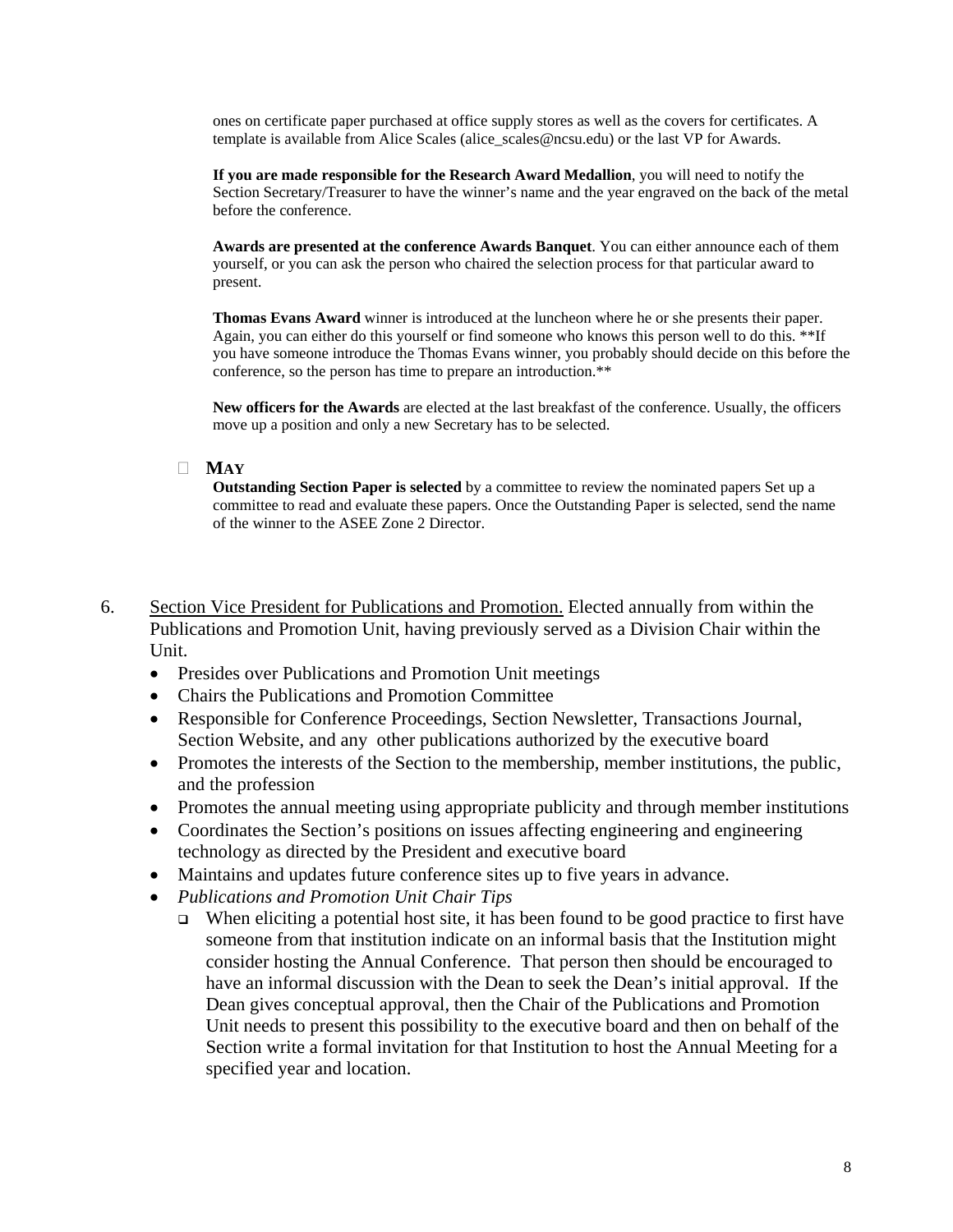ones on certificate paper purchased at office supply stores as well as the covers for certificates. A template is available from Alice Scales (alice\_scales@ncsu.edu) or the last VP for Awards.

**If you are made responsible for the Research Award Medallion**, you will need to notify the Section Secretary/Treasurer to have the winner's name and the year engraved on the back of the metal before the conference.

**Awards are presented at the conference Awards Banquet**. You can either announce each of them yourself, or you can ask the person who chaired the selection process for that particular award to present.

**Thomas Evans Award** winner is introduced at the luncheon where he or she presents their paper. Again, you can either do this yourself or find someone who knows this person well to do this. \*\*If you have someone introduce the Thomas Evans winner, you probably should decide on this before the conference, so the person has time to prepare an introduction.\*\*

**New officers for the Awards** are elected at the last breakfast of the conference. Usually, the officers move up a position and only a new Secretary has to be selected.

#### **MAY**

**Outstanding Section Paper is selected** by a committee to review the nominated papers Set up a committee to read and evaluate these papers. Once the Outstanding Paper is selected, send the name of the winner to the ASEE Zone 2 Director.

- 6. Section Vice President for Publications and Promotion. Elected annually from within the Publications and Promotion Unit, having previously served as a Division Chair within the Unit.
	- Presides over Publications and Promotion Unit meetings
	- Chairs the Publications and Promotion Committee
	- Responsible for Conference Proceedings, Section Newsletter, Transactions Journal, Section Website, and any other publications authorized by the executive board
	- Promotes the interests of the Section to the membership, member institutions, the public, and the profession
	- Promotes the annual meeting using appropriate publicity and through member institutions
	- Coordinates the Section's positions on issues affecting engineering and engineering technology as directed by the President and executive board
	- Maintains and updates future conference sites up to five years in advance.
	- *Publications and Promotion Unit Chair Tips* 
		- $\Box$  When eliciting a potential host site, it has been found to be good practice to first have someone from that institution indicate on an informal basis that the Institution might consider hosting the Annual Conference. That person then should be encouraged to have an informal discussion with the Dean to seek the Dean's initial approval. If the Dean gives conceptual approval, then the Chair of the Publications and Promotion Unit needs to present this possibility to the executive board and then on behalf of the Section write a formal invitation for that Institution to host the Annual Meeting for a specified year and location.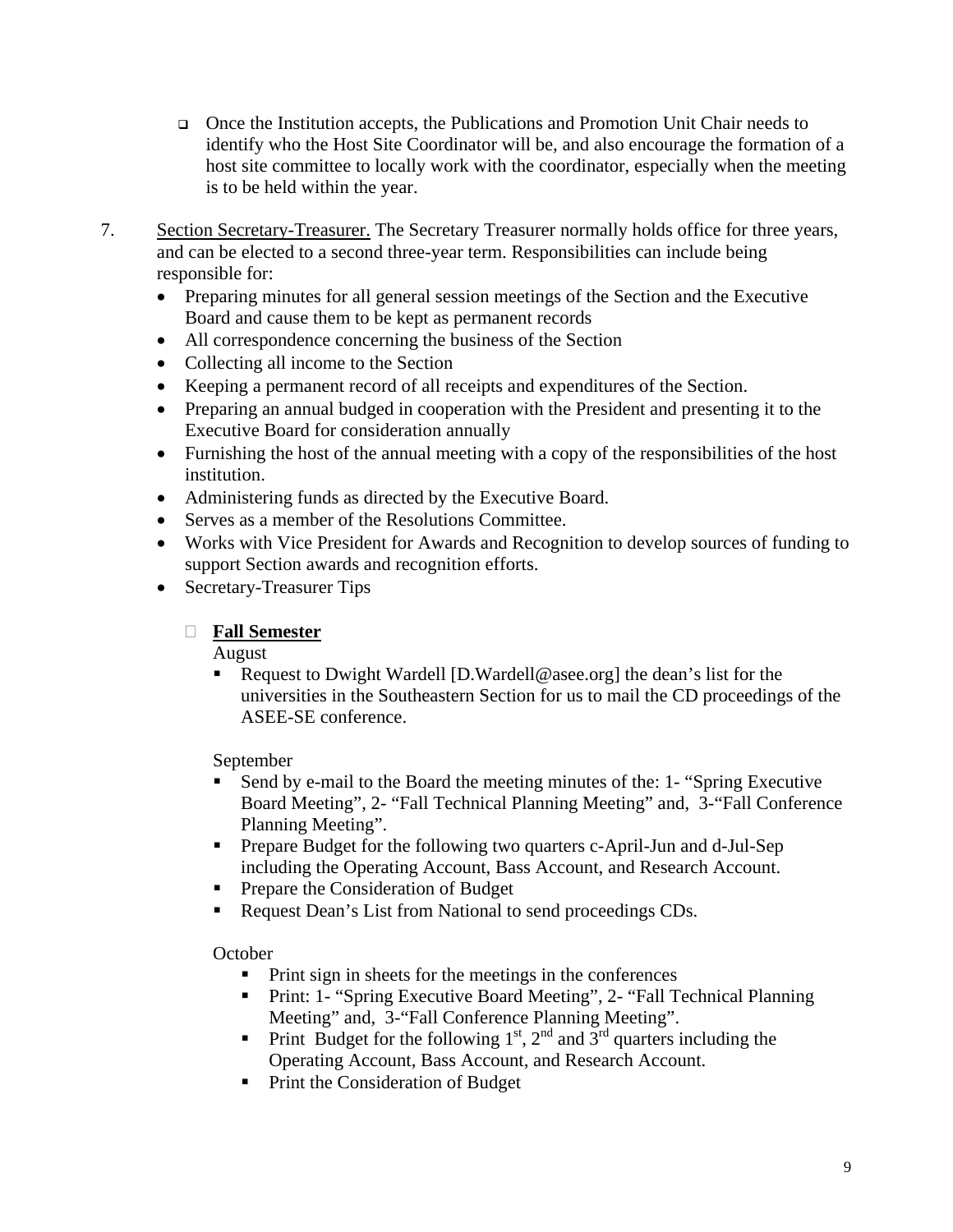- Once the Institution accepts, the Publications and Promotion Unit Chair needs to identify who the Host Site Coordinator will be, and also encourage the formation of a host site committee to locally work with the coordinator, especially when the meeting is to be held within the year.
- 7. Section Secretary-Treasurer. The Secretary Treasurer normally holds office for three years, and can be elected to a second three-year term. Responsibilities can include being responsible for:
	- Preparing minutes for all general session meetings of the Section and the Executive Board and cause them to be kept as permanent records
	- All correspondence concerning the business of the Section
	- Collecting all income to the Section
	- Keeping a permanent record of all receipts and expenditures of the Section.
	- Preparing an annual budged in cooperation with the President and presenting it to the Executive Board for consideration annually
	- Furnishing the host of the annual meeting with a copy of the responsibilities of the host institution.
	- Administering funds as directed by the Executive Board.
	- Serves as a member of the Resolutions Committee.
	- Works with Vice President for Awards and Recognition to develop sources of funding to support Section awards and recognition efforts.
	- Secretary-Treasurer Tips

### **Fall Semester**

August

 Request to Dwight Wardell [D.Wardell@asee.org] the dean's list for the universities in the Southeastern Section for us to mail the CD proceedings of the ASEE-SE conference.

September

- Send by e-mail to the Board the meeting minutes of the: 1- "Spring Executive Board Meeting", 2- "Fall Technical Planning Meeting" and, 3-"Fall Conference Planning Meeting".
- Prepare Budget for the following two quarters c-April-Jun and d-Jul-Sep including the Operating Account, Bass Account, and Research Account.
- Prepare the Consideration of Budget
- Request Dean's List from National to send proceedings CDs.

### **October**

- **Print sign in sheets for the meetings in the conferences**
- **Print: 1- "Spring Executive Board Meeting", 2- "Fall Technical Planning** Meeting" and, 3-"Fall Conference Planning Meeting".
- Print Budget for the following  $1<sup>st</sup>$ ,  $2<sup>nd</sup>$  and  $3<sup>rd</sup>$  quarters including the Operating Account, Bass Account, and Research Account.
- Print the Consideration of Budget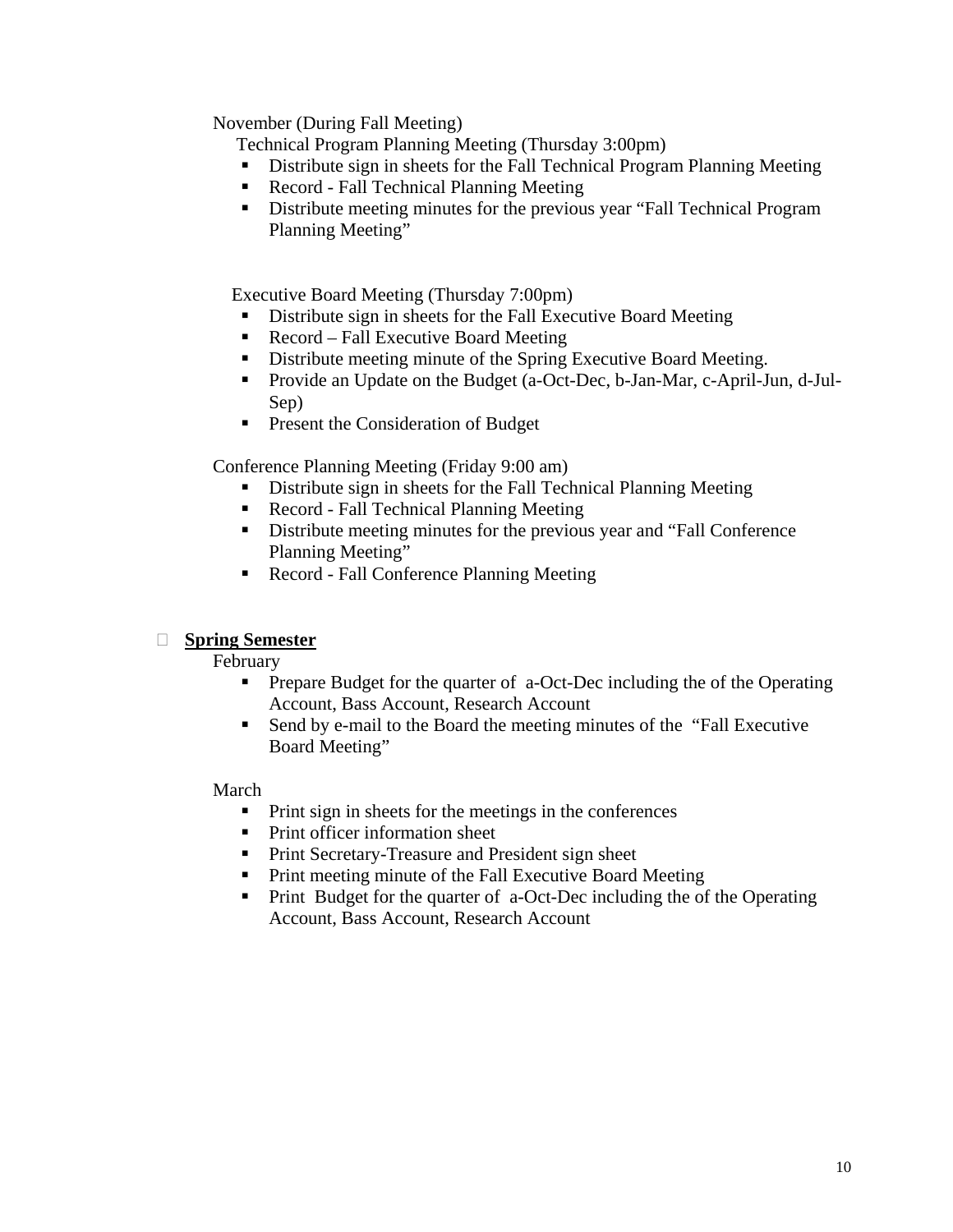November (During Fall Meeting)

Technical Program Planning Meeting (Thursday 3:00pm)

- **•** Distribute sign in sheets for the Fall Technical Program Planning Meeting
- Record Fall Technical Planning Meeting
- Distribute meeting minutes for the previous year "Fall Technical Program" Planning Meeting"

Executive Board Meeting (Thursday 7:00pm)

- Distribute sign in sheets for the Fall Executive Board Meeting
- Record Fall Executive Board Meeting
- Distribute meeting minute of the Spring Executive Board Meeting.
- **Provide an Update on the Budget (a-Oct-Dec, b-Jan-Mar, c-April-Jun, d-Jul-**Sep)
- **Present the Consideration of Budget**

Conference Planning Meeting (Friday 9:00 am)

- Distribute sign in sheets for the Fall Technical Planning Meeting
- Record Fall Technical Planning Meeting
- Distribute meeting minutes for the previous year and "Fall Conference" Planning Meeting"
- Record Fall Conference Planning Meeting

### **Spring Semester**

February

- **Prepare Budget for the quarter of a-Oct-Dec including the of the Operating** Account, Bass Account, Research Account
- Send by e-mail to the Board the meeting minutes of the "Fall Executive Board Meeting"

March

- **Print sign in sheets for the meetings in the conferences**
- Print officer information sheet
- **Print Secretary-Treasure and President sign sheet**
- Print meeting minute of the Fall Executive Board Meeting
- Print Budget for the quarter of a-Oct-Dec including the of the Operating Account, Bass Account, Research Account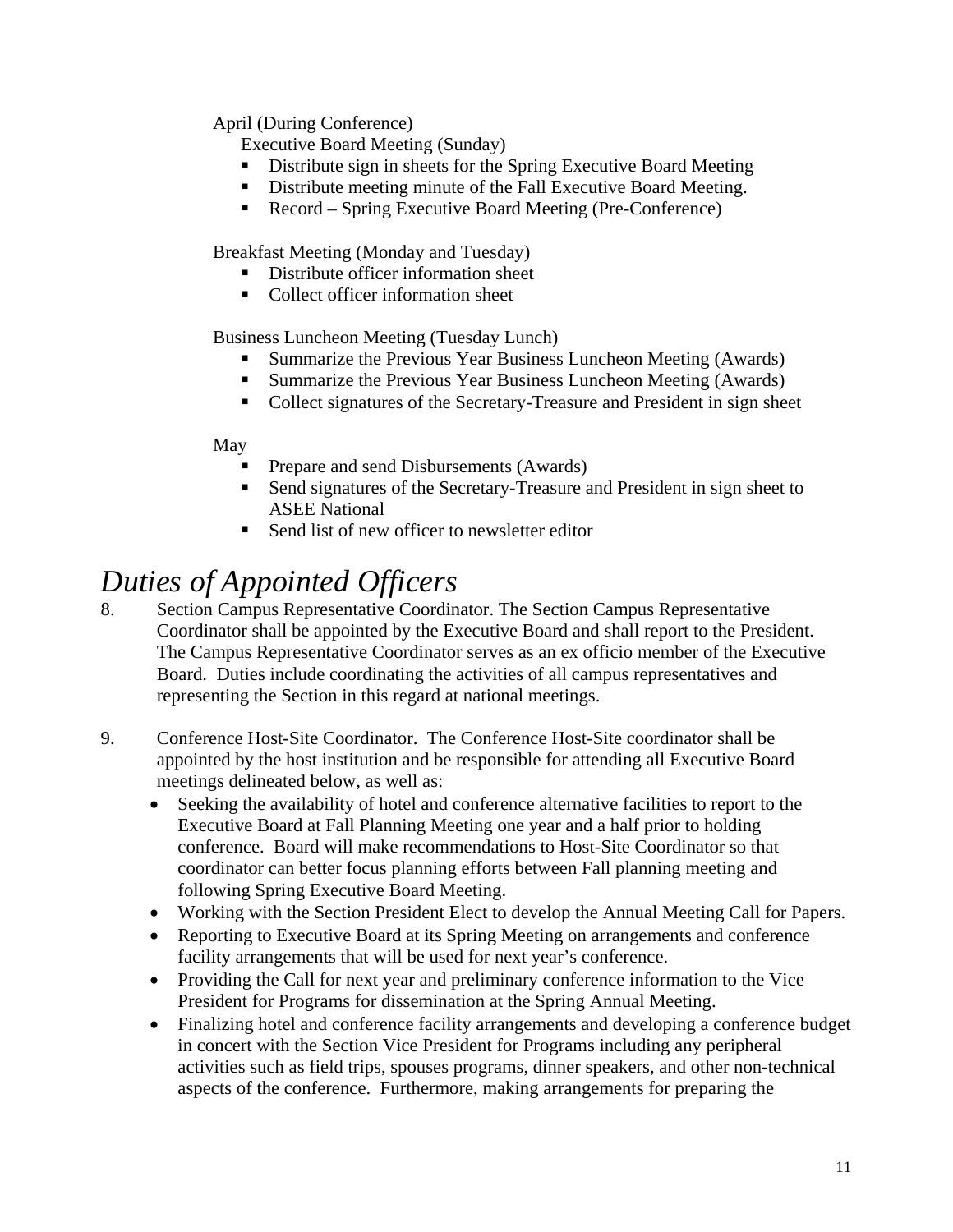## April (During Conference)

Executive Board Meeting (Sunday)

- Distribute sign in sheets for the Spring Executive Board Meeting
- Distribute meeting minute of the Fall Executive Board Meeting.
- Record Spring Executive Board Meeting (Pre-Conference)

Breakfast Meeting (Monday and Tuesday)

- Distribute officer information sheet
- Collect officer information sheet

Business Luncheon Meeting (Tuesday Lunch)

- **Summarize the Previous Year Business Luncheon Meeting (Awards)**
- **Summarize the Previous Year Business Luncheon Meeting (Awards)**
- Collect signatures of the Secretary-Treasure and President in sign sheet

### May

- Prepare and send Disbursements (Awards)
- Send signatures of the Secretary-Treasure and President in sign sheet to ASEE National
- Send list of new officer to newsletter editor

## *Duties of Appointed Officers*

- 8. Section Campus Representative Coordinator. The Section Campus Representative Coordinator shall be appointed by the Executive Board and shall report to the President. The Campus Representative Coordinator serves as an ex officio member of the Executive Board. Duties include coordinating the activities of all campus representatives and representing the Section in this regard at national meetings.
- 9. Conference Host-Site Coordinator. The Conference Host-Site coordinator shall be appointed by the host institution and be responsible for attending all Executive Board meetings delineated below, as well as:
	- Seeking the availability of hotel and conference alternative facilities to report to the Executive Board at Fall Planning Meeting one year and a half prior to holding conference. Board will make recommendations to Host-Site Coordinator so that coordinator can better focus planning efforts between Fall planning meeting and following Spring Executive Board Meeting.
	- Working with the Section President Elect to develop the Annual Meeting Call for Papers.
	- Reporting to Executive Board at its Spring Meeting on arrangements and conference facility arrangements that will be used for next year's conference.
	- Providing the Call for next year and preliminary conference information to the Vice President for Programs for dissemination at the Spring Annual Meeting.
	- Finalizing hotel and conference facility arrangements and developing a conference budget in concert with the Section Vice President for Programs including any peripheral activities such as field trips, spouses programs, dinner speakers, and other non-technical aspects of the conference. Furthermore, making arrangements for preparing the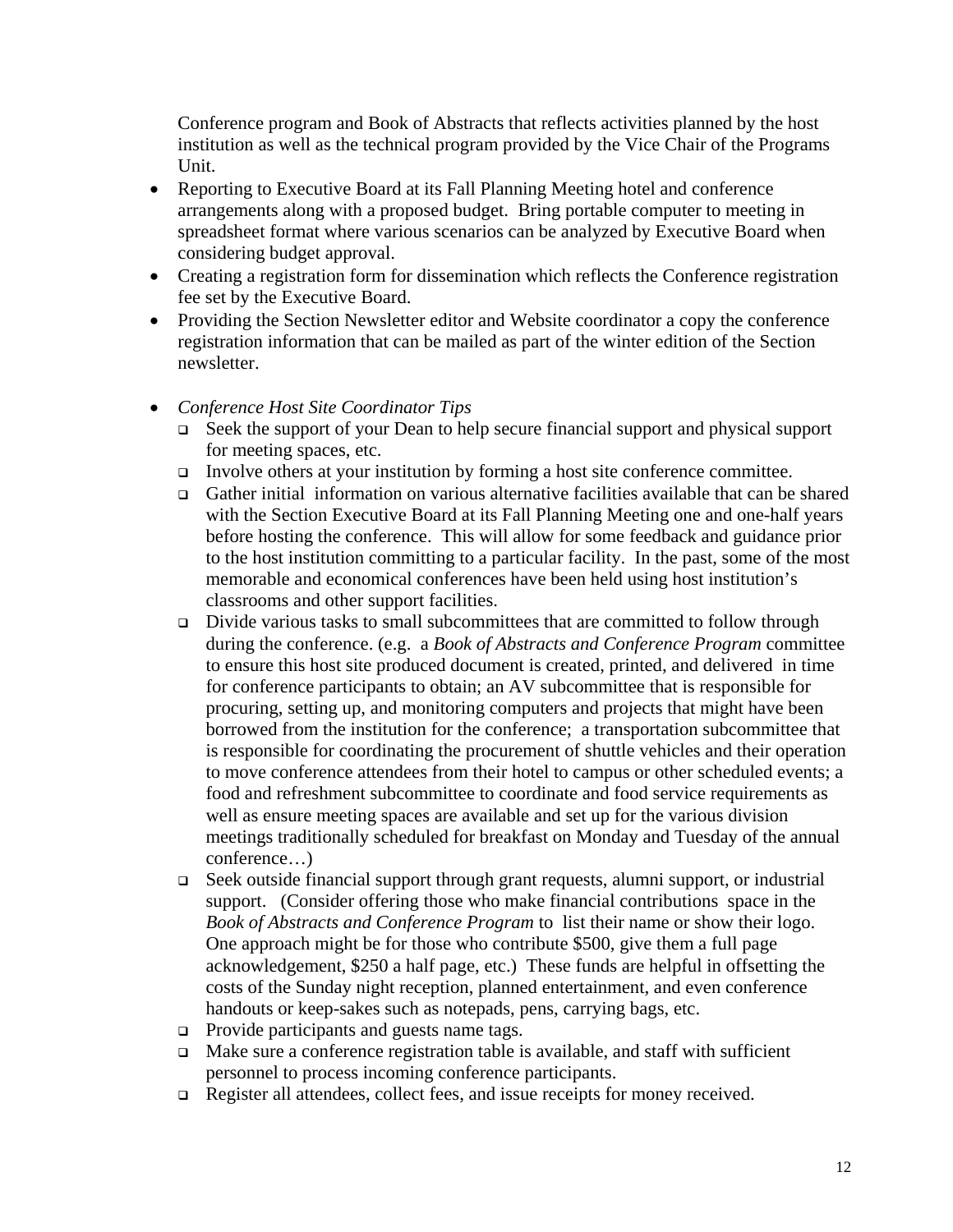Conference program and Book of Abstracts that reflects activities planned by the host institution as well as the technical program provided by the Vice Chair of the Programs Unit.

- Reporting to Executive Board at its Fall Planning Meeting hotel and conference arrangements along with a proposed budget. Bring portable computer to meeting in spreadsheet format where various scenarios can be analyzed by Executive Board when considering budget approval.
- Creating a registration form for dissemination which reflects the Conference registration fee set by the Executive Board.
- Providing the Section Newsletter editor and Website coordinator a copy the conference registration information that can be mailed as part of the winter edition of the Section newsletter.
- *Conference Host Site Coordinator Tips* 
	- Seek the support of your Dean to help secure financial support and physical support for meeting spaces, etc.
	- Involve others at your institution by forming a host site conference committee.
	- Gather initial information on various alternative facilities available that can be shared with the Section Executive Board at its Fall Planning Meeting one and one-half years before hosting the conference. This will allow for some feedback and guidance prior to the host institution committing to a particular facility. In the past, some of the most memorable and economical conferences have been held using host institution's classrooms and other support facilities.
	- $\Box$  Divide various tasks to small subcommittees that are committed to follow through during the conference. (e.g. a *Book of Abstracts and Conference Program* committee to ensure this host site produced document is created, printed, and delivered in time for conference participants to obtain; an AV subcommittee that is responsible for procuring, setting up, and monitoring computers and projects that might have been borrowed from the institution for the conference; a transportation subcommittee that is responsible for coordinating the procurement of shuttle vehicles and their operation to move conference attendees from their hotel to campus or other scheduled events; a food and refreshment subcommittee to coordinate and food service requirements as well as ensure meeting spaces are available and set up for the various division meetings traditionally scheduled for breakfast on Monday and Tuesday of the annual conference…)
	- Seek outside financial support through grant requests, alumni support, or industrial support. (Consider offering those who make financial contributions space in the *Book of Abstracts and Conference Program* to list their name or show their logo. One approach might be for those who contribute \$500, give them a full page acknowledgement, \$250 a half page, etc.) These funds are helpful in offsetting the costs of the Sunday night reception, planned entertainment, and even conference handouts or keep-sakes such as notepads, pens, carrying bags, etc.
	- $\Box$  Provide participants and guests name tags.
	- $\Box$  Make sure a conference registration table is available, and staff with sufficient personnel to process incoming conference participants.
	- □ Register all attendees, collect fees, and issue receipts for money received.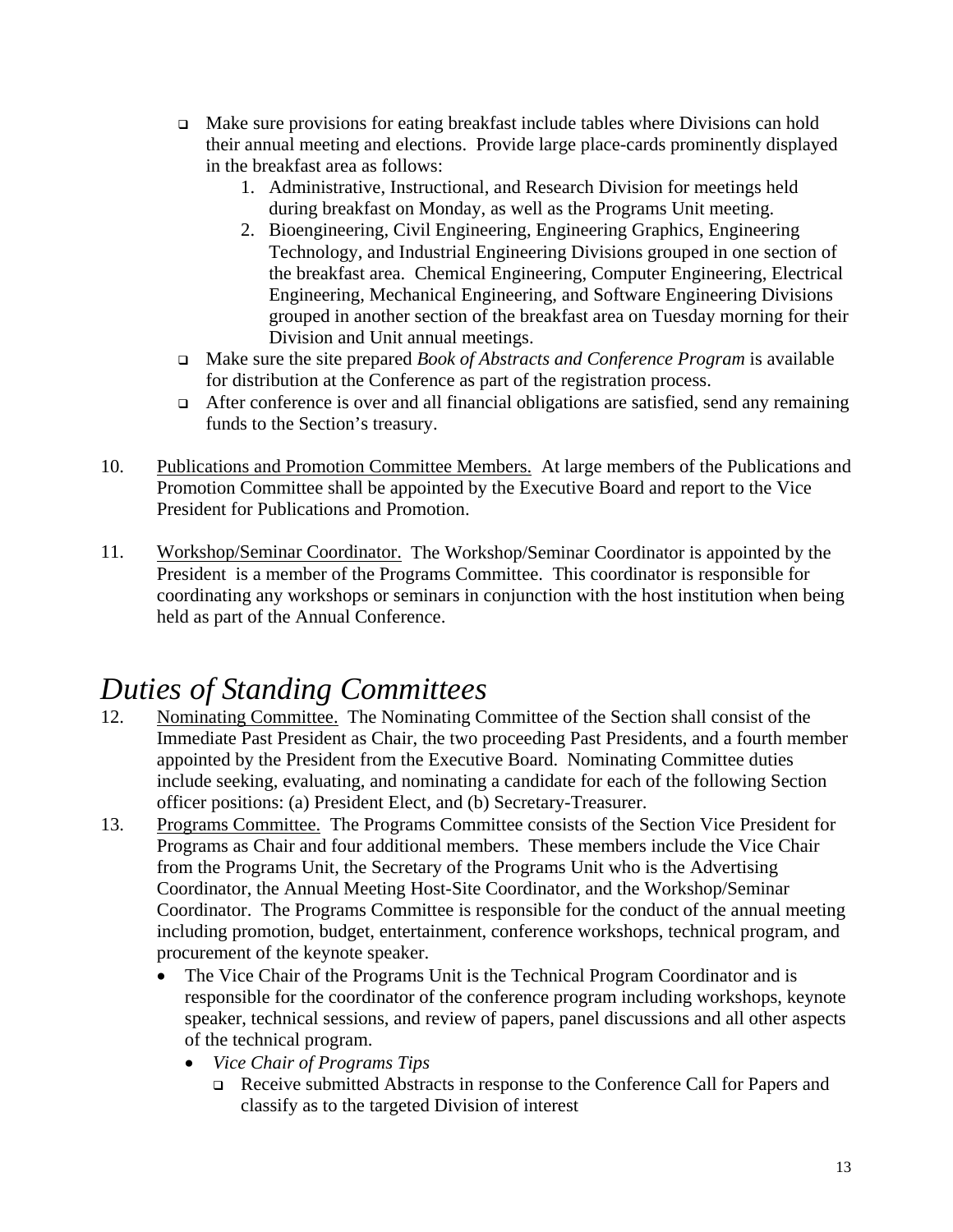- $\Box$  Make sure provisions for eating breakfast include tables where Divisions can hold their annual meeting and elections. Provide large place-cards prominently displayed in the breakfast area as follows:
	- 1. Administrative, Instructional, and Research Division for meetings held during breakfast on Monday, as well as the Programs Unit meeting.
	- 2. Bioengineering, Civil Engineering, Engineering Graphics, Engineering Technology, and Industrial Engineering Divisions grouped in one section of the breakfast area. Chemical Engineering, Computer Engineering, Electrical Engineering, Mechanical Engineering, and Software Engineering Divisions grouped in another section of the breakfast area on Tuesday morning for their Division and Unit annual meetings.
- Make sure the site prepared *Book of Abstracts and Conference Program* is available for distribution at the Conference as part of the registration process.
- After conference is over and all financial obligations are satisfied, send any remaining funds to the Section's treasury.
- 10. Publications and Promotion Committee Members. At large members of the Publications and Promotion Committee shall be appointed by the Executive Board and report to the Vice President for Publications and Promotion.
- 11. Workshop/Seminar Coordinator. The Workshop/Seminar Coordinator is appointed by the President is a member of the Programs Committee. This coordinator is responsible for coordinating any workshops or seminars in conjunction with the host institution when being held as part of the Annual Conference.

## *Duties of Standing Committees*

- 12. Nominating Committee. The Nominating Committee of the Section shall consist of the Immediate Past President as Chair, the two proceeding Past Presidents, and a fourth member appointed by the President from the Executive Board. Nominating Committee duties include seeking, evaluating, and nominating a candidate for each of the following Section officer positions: (a) President Elect, and (b) Secretary-Treasurer.
- 13. Programs Committee. The Programs Committee consists of the Section Vice President for Programs as Chair and four additional members. These members include the Vice Chair from the Programs Unit, the Secretary of the Programs Unit who is the Advertising Coordinator, the Annual Meeting Host-Site Coordinator, and the Workshop/Seminar Coordinator. The Programs Committee is responsible for the conduct of the annual meeting including promotion, budget, entertainment, conference workshops, technical program, and procurement of the keynote speaker.
	- The Vice Chair of the Programs Unit is the Technical Program Coordinator and is responsible for the coordinator of the conference program including workshops, keynote speaker, technical sessions, and review of papers, panel discussions and all other aspects of the technical program.
		- *Vice Chair of Programs Tips* 
			- Receive submitted Abstracts in response to the Conference Call for Papers and classify as to the targeted Division of interest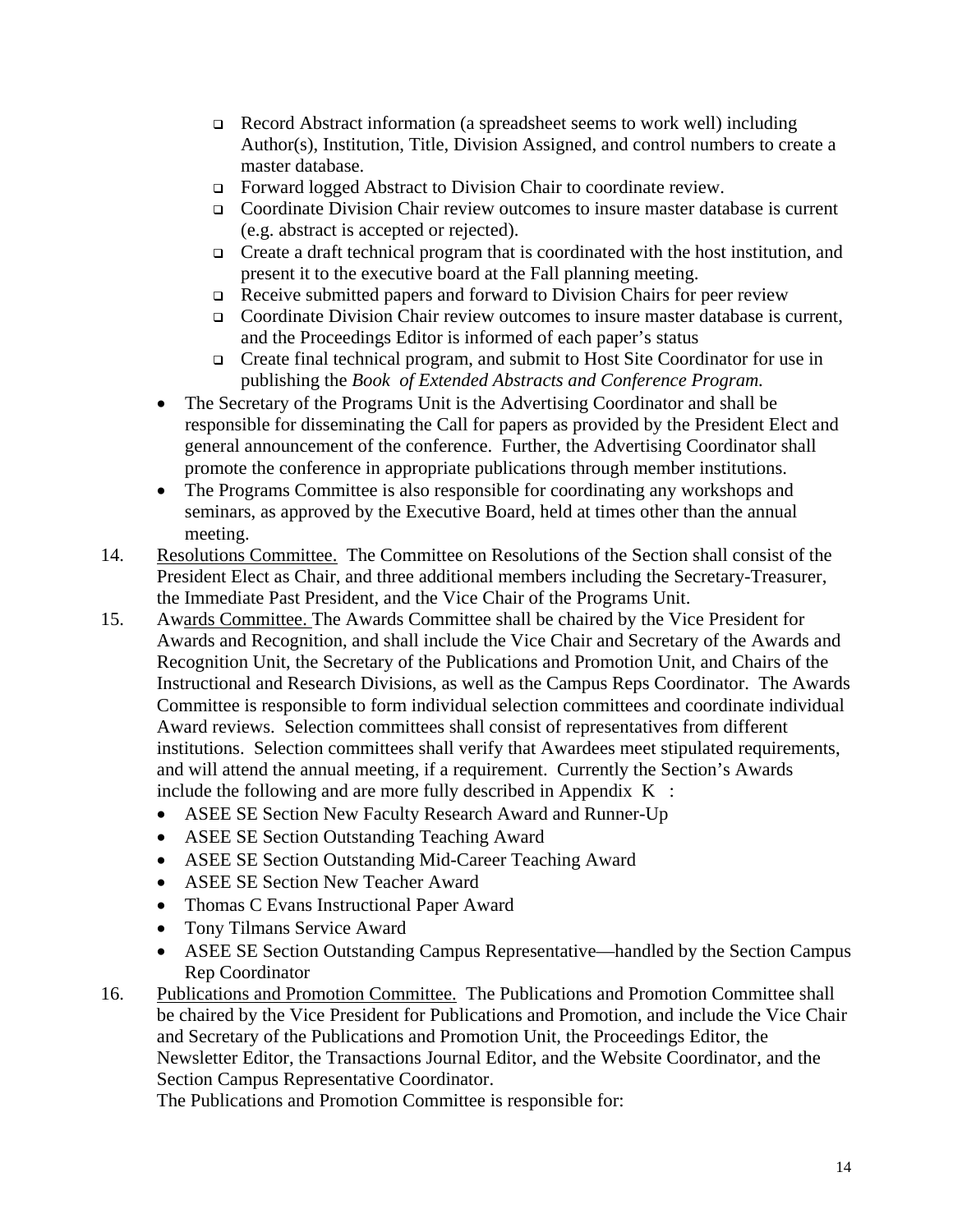- Record Abstract information (a spreadsheet seems to work well) including Author(s), Institution, Title, Division Assigned, and control numbers to create a master database.
- Forward logged Abstract to Division Chair to coordinate review.
- Coordinate Division Chair review outcomes to insure master database is current (e.g. abstract is accepted or rejected).
- $\Box$  Create a draft technical program that is coordinated with the host institution, and present it to the executive board at the Fall planning meeting.
- Receive submitted papers and forward to Division Chairs for peer review
- Coordinate Division Chair review outcomes to insure master database is current, and the Proceedings Editor is informed of each paper's status
- Create final technical program, and submit to Host Site Coordinator for use in publishing the *Book of Extended Abstracts and Conference Program.*
- The Secretary of the Programs Unit is the Advertising Coordinator and shall be responsible for disseminating the Call for papers as provided by the President Elect and general announcement of the conference. Further, the Advertising Coordinator shall promote the conference in appropriate publications through member institutions.
- The Programs Committee is also responsible for coordinating any workshops and seminars, as approved by the Executive Board, held at times other than the annual meeting.
- 14. Resolutions Committee. The Committee on Resolutions of the Section shall consist of the President Elect as Chair, and three additional members including the Secretary-Treasurer, the Immediate Past President, and the Vice Chair of the Programs Unit.
- 15. Awards Committee. The Awards Committee shall be chaired by the Vice President for Awards and Recognition, and shall include the Vice Chair and Secretary of the Awards and Recognition Unit, the Secretary of the Publications and Promotion Unit, and Chairs of the Instructional and Research Divisions, as well as the Campus Reps Coordinator. The Awards Committee is responsible to form individual selection committees and coordinate individual Award reviews. Selection committees shall consist of representatives from different institutions. Selection committees shall verify that Awardees meet stipulated requirements, and will attend the annual meeting, if a requirement. Currently the Section's Awards include the following and are more fully described in Appendix  $K$ :
	- ASEE SE Section New Faculty Research Award and Runner-Up
	- ASEE SE Section Outstanding Teaching Award
	- ASEE SE Section Outstanding Mid-Career Teaching Award
	- ASEE SE Section New Teacher Award
	- Thomas C Evans Instructional Paper Award
	- Tony Tilmans Service Award
	- ASEE SE Section Outstanding Campus Representative—handled by the Section Campus Rep Coordinator
- 16. Publications and Promotion Committee. The Publications and Promotion Committee shall be chaired by the Vice President for Publications and Promotion, and include the Vice Chair and Secretary of the Publications and Promotion Unit, the Proceedings Editor, the Newsletter Editor, the Transactions Journal Editor, and the Website Coordinator, and the Section Campus Representative Coordinator.

The Publications and Promotion Committee is responsible for: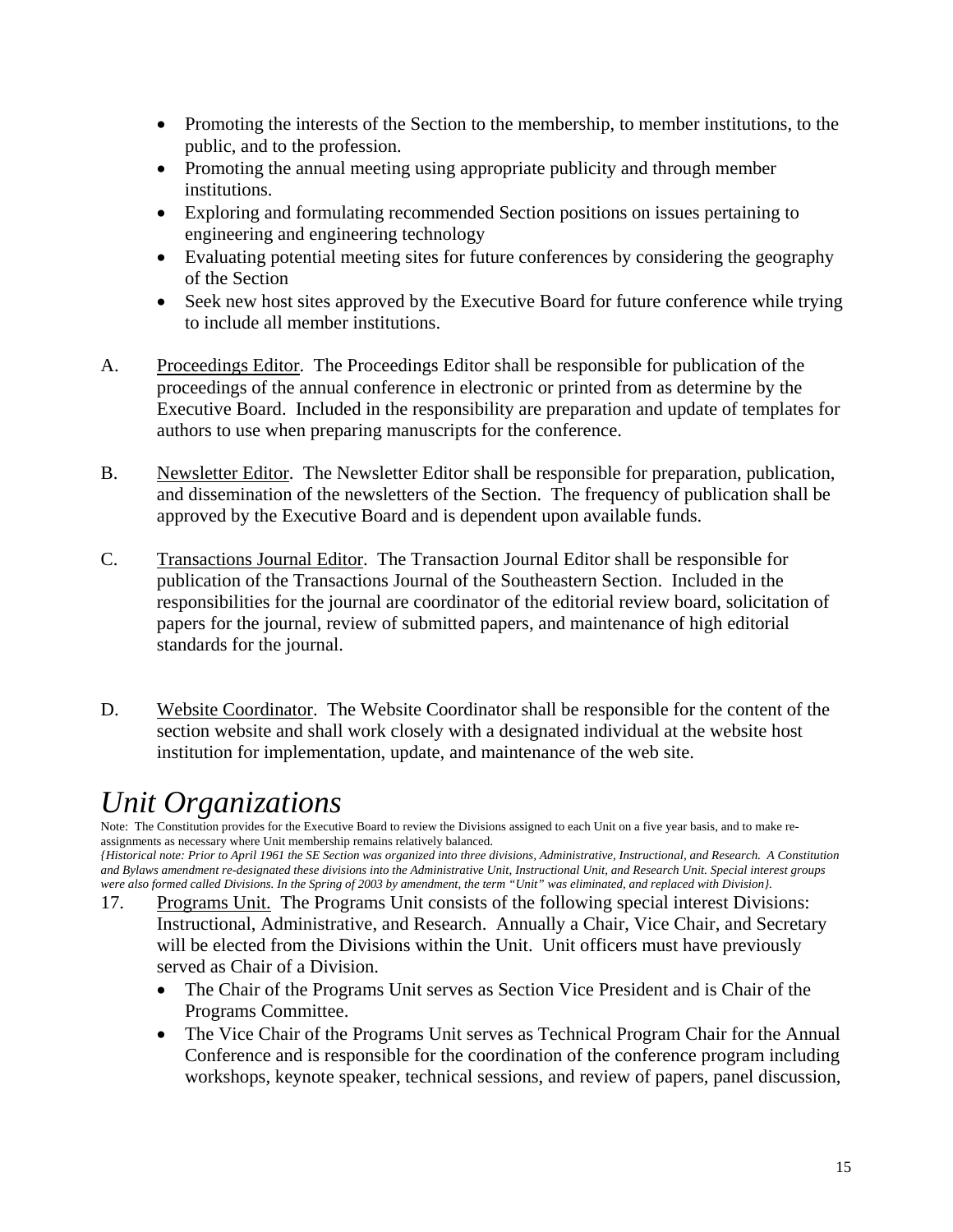- Promoting the interests of the Section to the membership, to member institutions, to the public, and to the profession.
- Promoting the annual meeting using appropriate publicity and through member institutions.
- Exploring and formulating recommended Section positions on issues pertaining to engineering and engineering technology
- Evaluating potential meeting sites for future conferences by considering the geography of the Section
- Seek new host sites approved by the Executive Board for future conference while trying to include all member institutions.
- A. Proceedings Editor. The Proceedings Editor shall be responsible for publication of the proceedings of the annual conference in electronic or printed from as determine by the Executive Board. Included in the responsibility are preparation and update of templates for authors to use when preparing manuscripts for the conference.
- B. Newsletter Editor. The Newsletter Editor shall be responsible for preparation, publication, and dissemination of the newsletters of the Section. The frequency of publication shall be approved by the Executive Board and is dependent upon available funds.
- C. Transactions Journal Editor. The Transaction Journal Editor shall be responsible for publication of the Transactions Journal of the Southeastern Section. Included in the responsibilities for the journal are coordinator of the editorial review board, solicitation of papers for the journal, review of submitted papers, and maintenance of high editorial standards for the journal.
- D. Website Coordinator. The Website Coordinator shall be responsible for the content of the section website and shall work closely with a designated individual at the website host institution for implementation, update, and maintenance of the web site.

## *Unit Organizations*

Note: The Constitution provides for the Executive Board to review the Divisions assigned to each Unit on a five year basis, and to make reassignments as necessary where Unit membership remains relatively balanced.

*{Historical note: Prior to April 1961 the SE Section was organized into three divisions, Administrative, Instructional, and Research. A Constitution and Bylaws amendment re-designated these divisions into the Administrative Unit, Instructional Unit, and Research Unit. Special interest groups were also formed called Divisions. In the Spring of 2003 by amendment, the term "Unit" was eliminated, and replaced with Division}.* 

- 17. Programs Unit. The Programs Unit consists of the following special interest Divisions: Instructional, Administrative, and Research. Annually a Chair, Vice Chair, and Secretary will be elected from the Divisions within the Unit. Unit officers must have previously served as Chair of a Division.
	- The Chair of the Programs Unit serves as Section Vice President and is Chair of the Programs Committee.
	- The Vice Chair of the Programs Unit serves as Technical Program Chair for the Annual Conference and is responsible for the coordination of the conference program including workshops, keynote speaker, technical sessions, and review of papers, panel discussion,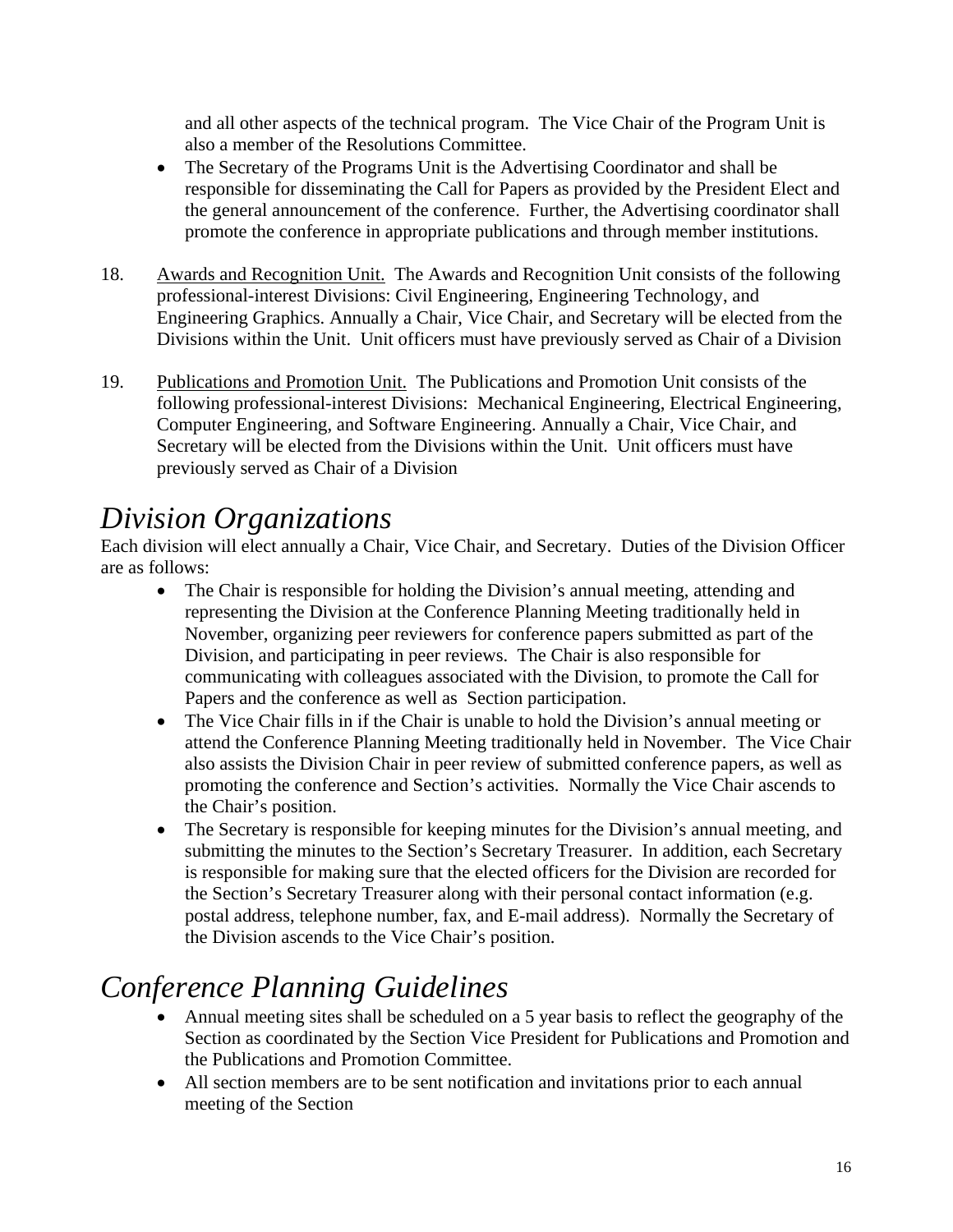and all other aspects of the technical program. The Vice Chair of the Program Unit is also a member of the Resolutions Committee.

- The Secretary of the Programs Unit is the Advertising Coordinator and shall be responsible for disseminating the Call for Papers as provided by the President Elect and the general announcement of the conference. Further, the Advertising coordinator shall promote the conference in appropriate publications and through member institutions.
- 18. Awards and Recognition Unit. The Awards and Recognition Unit consists of the following professional-interest Divisions: Civil Engineering, Engineering Technology, and Engineering Graphics. Annually a Chair, Vice Chair, and Secretary will be elected from the Divisions within the Unit. Unit officers must have previously served as Chair of a Division
- 19. Publications and Promotion Unit. The Publications and Promotion Unit consists of the following professional-interest Divisions: Mechanical Engineering, Electrical Engineering, Computer Engineering, and Software Engineering. Annually a Chair, Vice Chair, and Secretary will be elected from the Divisions within the Unit. Unit officers must have previously served as Chair of a Division

## *Division Organizations*

Each division will elect annually a Chair, Vice Chair, and Secretary. Duties of the Division Officer are as follows:

- The Chair is responsible for holding the Division's annual meeting, attending and representing the Division at the Conference Planning Meeting traditionally held in November, organizing peer reviewers for conference papers submitted as part of the Division, and participating in peer reviews. The Chair is also responsible for communicating with colleagues associated with the Division, to promote the Call for Papers and the conference as well as Section participation.
- The Vice Chair fills in if the Chair is unable to hold the Division's annual meeting or attend the Conference Planning Meeting traditionally held in November. The Vice Chair also assists the Division Chair in peer review of submitted conference papers, as well as promoting the conference and Section's activities. Normally the Vice Chair ascends to the Chair's position.
- The Secretary is responsible for keeping minutes for the Division's annual meeting, and submitting the minutes to the Section's Secretary Treasurer. In addition, each Secretary is responsible for making sure that the elected officers for the Division are recorded for the Section's Secretary Treasurer along with their personal contact information (e.g. postal address, telephone number, fax, and E-mail address). Normally the Secretary of the Division ascends to the Vice Chair's position.

## *Conference Planning Guidelines*

- Annual meeting sites shall be scheduled on a 5 year basis to reflect the geography of the Section as coordinated by the Section Vice President for Publications and Promotion and the Publications and Promotion Committee.
- All section members are to be sent notification and invitations prior to each annual meeting of the Section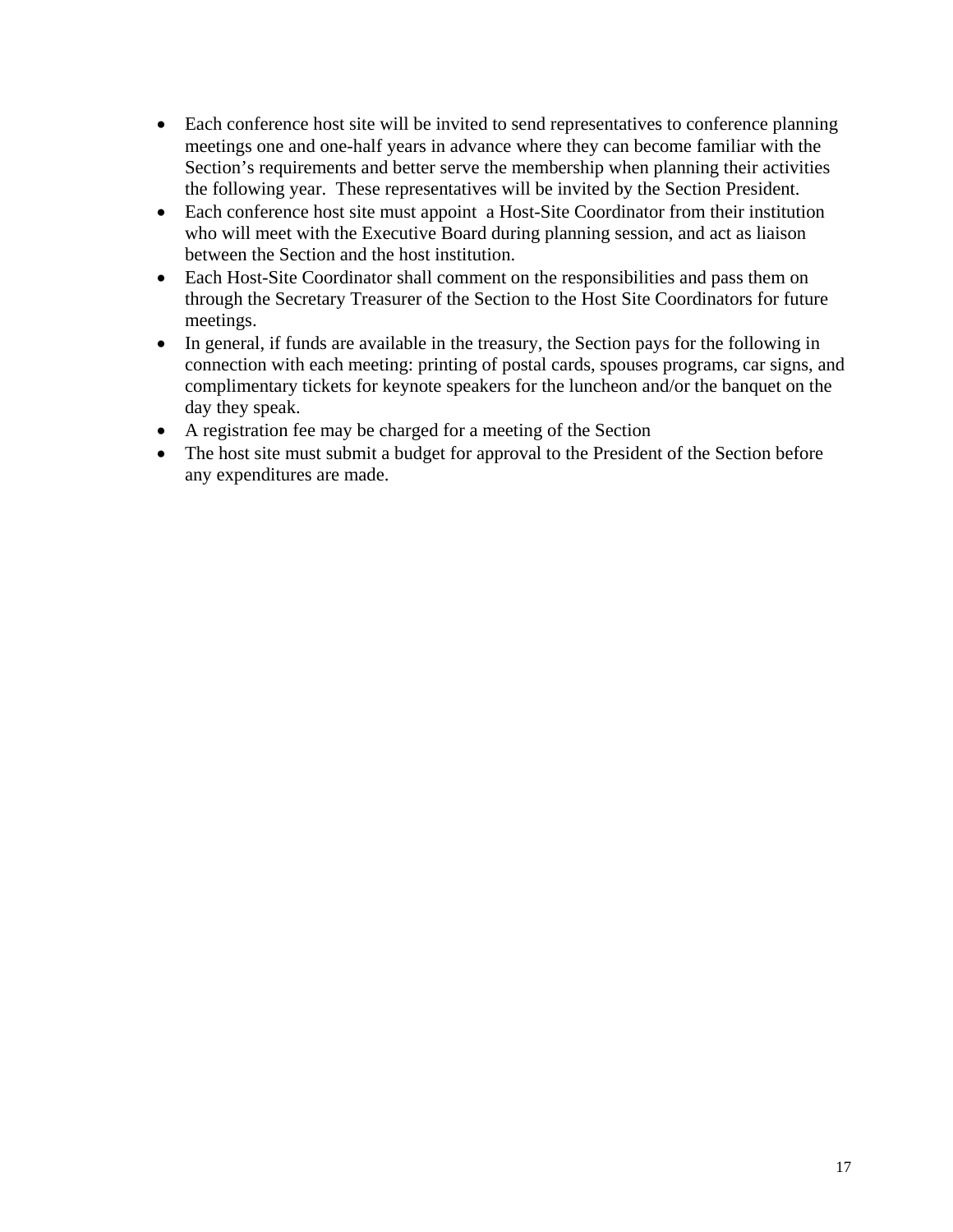- Each conference host site will be invited to send representatives to conference planning meetings one and one-half years in advance where they can become familiar with the Section's requirements and better serve the membership when planning their activities the following year. These representatives will be invited by the Section President.
- Each conference host site must appoint a Host-Site Coordinator from their institution who will meet with the Executive Board during planning session, and act as liaison between the Section and the host institution.
- Each Host-Site Coordinator shall comment on the responsibilities and pass them on through the Secretary Treasurer of the Section to the Host Site Coordinators for future meetings.
- In general, if funds are available in the treasury, the Section pays for the following in connection with each meeting: printing of postal cards, spouses programs, car signs, and complimentary tickets for keynote speakers for the luncheon and/or the banquet on the day they speak.
- A registration fee may be charged for a meeting of the Section
- The host site must submit a budget for approval to the President of the Section before any expenditures are made.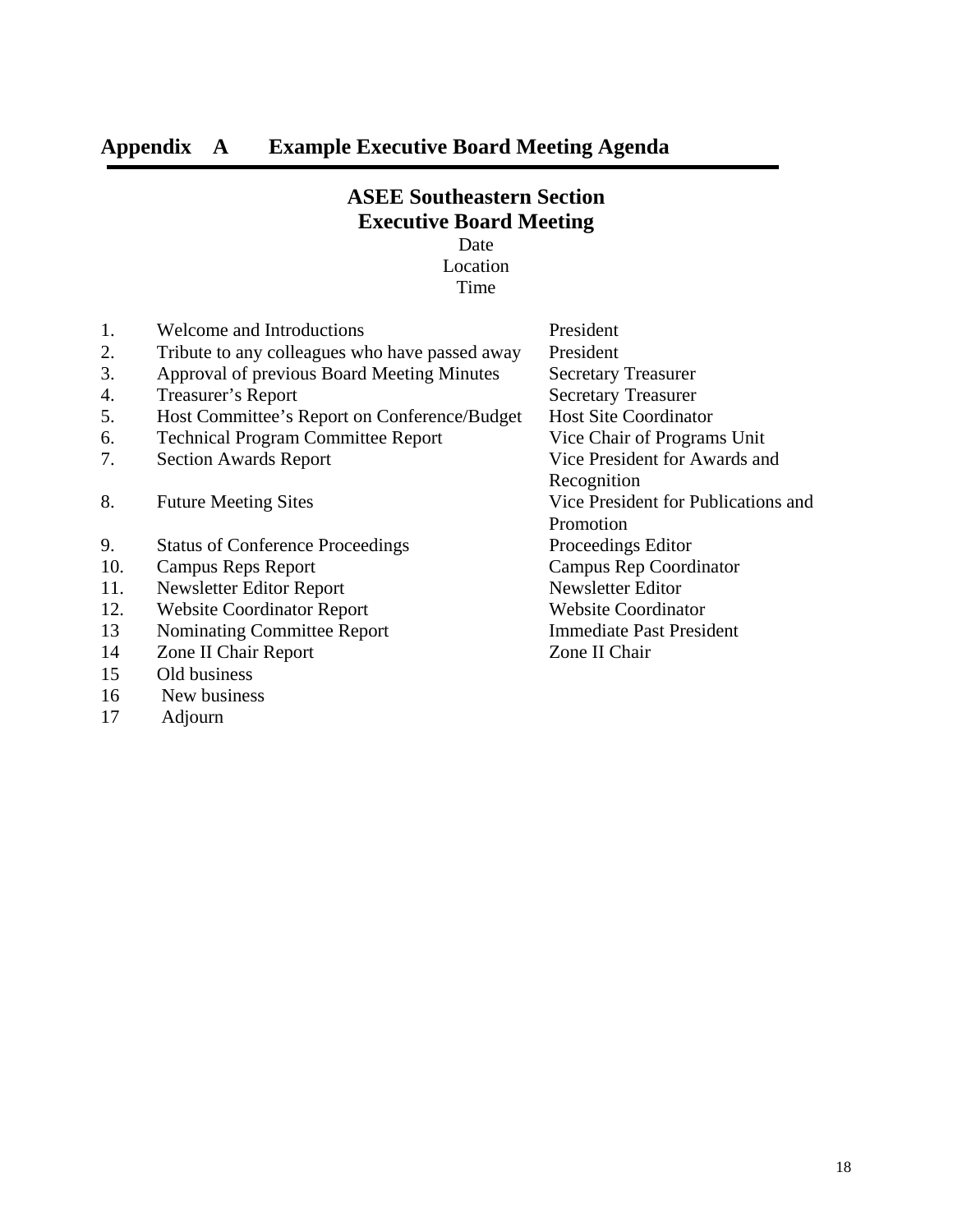## **Appendix A Example Executive Board Meeting Agenda**

## **ASEE Southeastern Section Executive Board Meeting**

Date Location Time

| 1.  | Welcome and Introductions                      | President                           |
|-----|------------------------------------------------|-------------------------------------|
| 2.  | Tribute to any colleagues who have passed away | President                           |
| 3.  | Approval of previous Board Meeting Minutes     | <b>Secretary Treasurer</b>          |
| 4.  | Treasurer's Report                             | <b>Secretary Treasurer</b>          |
| 5.  | Host Committee's Report on Conference/Budget   | <b>Host Site Coordinator</b>        |
| 6.  | <b>Technical Program Committee Report</b>      | Vice Chair of Programs Unit         |
| 7.  | <b>Section Awards Report</b>                   | Vice President for Awards and       |
|     |                                                | Recognition                         |
| 8.  | <b>Future Meeting Sites</b>                    | Vice President for Publications and |
|     |                                                | Promotion                           |
| 9.  | <b>Status of Conference Proceedings</b>        | Proceedings Editor                  |
| 10. | Campus Reps Report                             | Campus Rep Coordinator              |
| 11. | Newsletter Editor Report                       | Newsletter Editor                   |
| 12. | <b>Website Coordinator Report</b>              | <b>Website Coordinator</b>          |
| 13  | <b>Nominating Committee Report</b>             | <b>Immediate Past President</b>     |
| 14  | Zone II Chair Report                           | Zone II Chair                       |
| 15  | Old business                                   |                                     |
| 16  | New business                                   |                                     |

17 Adjourn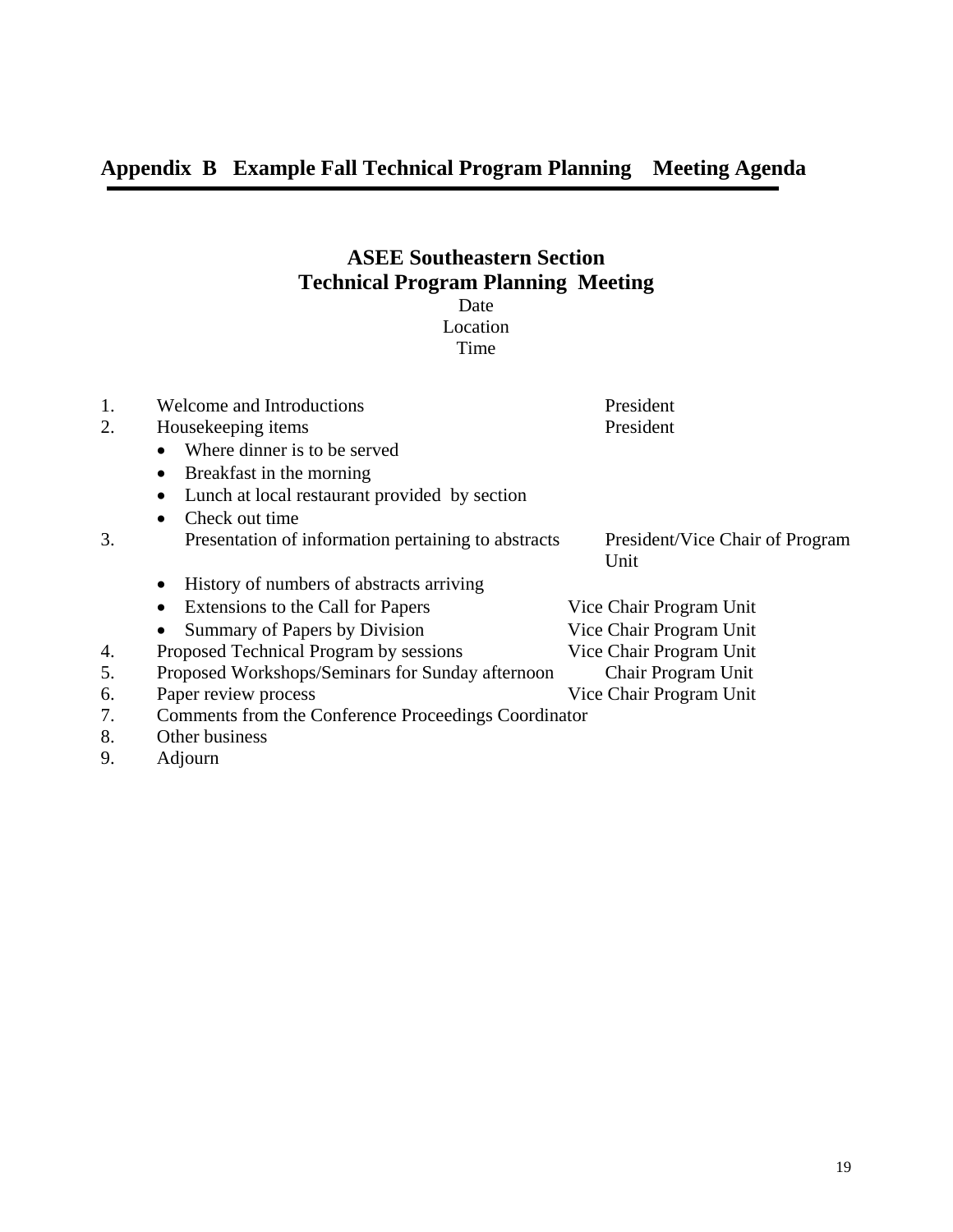## **ASEE Southeastern Section Technical Program Planning Meeting**

Date Location

Time

| 1.       | Welcome and Introductions                             | President                       |  |  |  |
|----------|-------------------------------------------------------|---------------------------------|--|--|--|
| 2.       | Housekeeping items                                    | President                       |  |  |  |
|          | Where dinner is to be served<br>$\bullet$             |                                 |  |  |  |
|          | Breakfast in the morning<br>$\bullet$                 |                                 |  |  |  |
|          | Lunch at local restaurant provided by section<br>٠    |                                 |  |  |  |
|          | Check out time<br>$\bullet$                           |                                 |  |  |  |
| 3.       | Presentation of information pertaining to abstracts   | President/Vice Chair of Program |  |  |  |
|          |                                                       | Unit                            |  |  |  |
|          | History of numbers of abstracts arriving<br>$\bullet$ |                                 |  |  |  |
|          | Extensions to the Call for Papers<br>٠                | Vice Chair Program Unit         |  |  |  |
|          | Summary of Papers by Division<br>٠                    | Vice Chair Program Unit         |  |  |  |
| 4.       | Proposed Technical Program by sessions                | Vice Chair Program Unit         |  |  |  |
| 5.       | Proposed Workshops/Seminars for Sunday afternoon      | Chair Program Unit              |  |  |  |
| 6.       | Paper review process                                  | Vice Chair Program Unit         |  |  |  |
| 7.       | Comments from the Conference Proceedings Coordinator  |                                 |  |  |  |
| 8.       | Other business                                        |                                 |  |  |  |
| $\Omega$ | $\lambda$ 1, $\lambda$ - $\lambda$                    |                                 |  |  |  |

9. Adjourn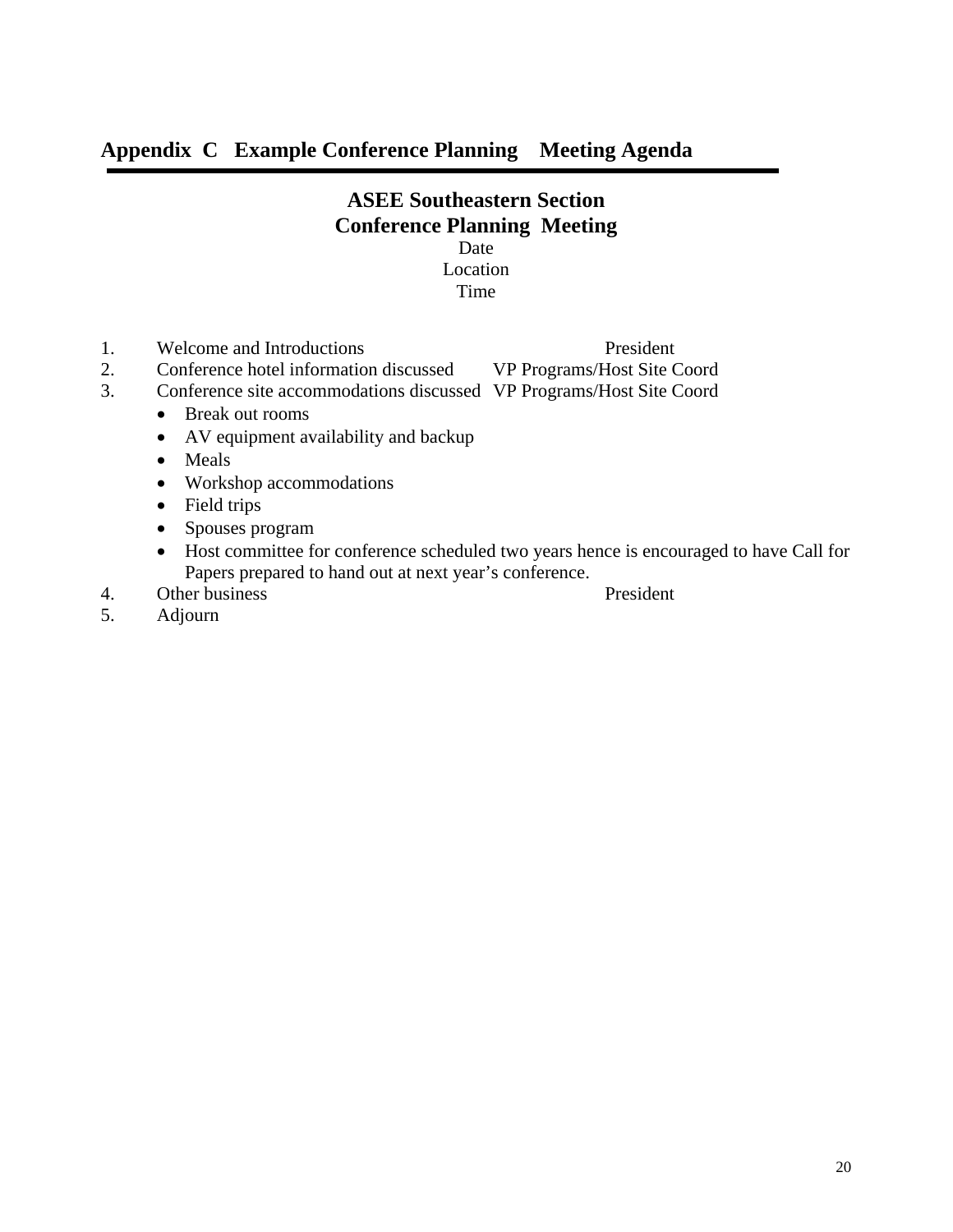## **Appendix C Example Conference Planning Meeting Agenda**

### **ASEE Southeastern Section Conference Planning Meeting**  Date Location

## Time

- 1. Welcome and Introductions<br>
2. Conference hotel information discussed VP Programs/Host Site C
- 2. Conference hotel information discussed VP Programs/Host Site Coord
- 3. Conference site accommodations discussed VP Programs/Host Site Coord
	- Break out rooms
	- AV equipment availability and backup
	- Meals
	- Workshop accommodations
	- Field trips
	- Spouses program
	- Host committee for conference scheduled two years hence is encouraged to have Call for Papers prepared to hand out at next year's conference.
- 4. Other business President

5. Adjourn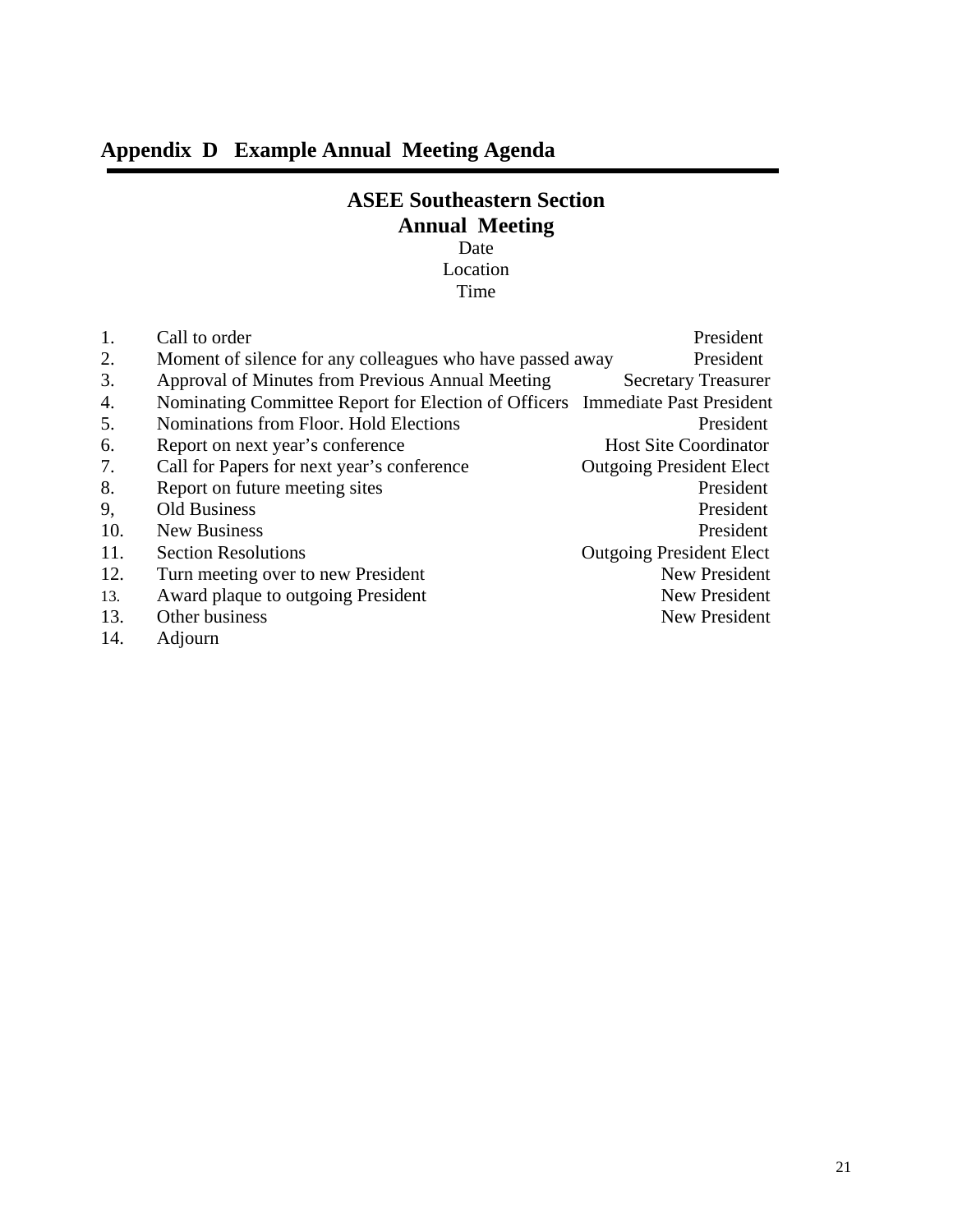## **Appendix D Example Annual Meeting Agenda**

## **ASEE Southeastern Section Annual Meeting**

Date Location Time

| 1.  | Call to order                                                                 | President                       |
|-----|-------------------------------------------------------------------------------|---------------------------------|
| 2.  | Moment of silence for any colleagues who have passed away                     | President                       |
| 3.  | Approval of Minutes from Previous Annual Meeting                              | <b>Secretary Treasurer</b>      |
| 4.  | Nominating Committee Report for Election of Officers Immediate Past President |                                 |
| 5.  | Nominations from Floor. Hold Elections                                        | President                       |
| 6.  | Report on next year's conference                                              | <b>Host Site Coordinator</b>    |
| 7.  | Call for Papers for next year's conference                                    | <b>Outgoing President Elect</b> |
| 8.  | Report on future meeting sites                                                | President                       |
| 9,  | <b>Old Business</b>                                                           | President                       |
| 10. | New Business                                                                  | President                       |
| 11. | <b>Section Resolutions</b>                                                    | <b>Outgoing President Elect</b> |
| 12. | Turn meeting over to new President                                            | New President                   |
| 13. | Award plaque to outgoing President                                            | New President                   |
| 13. | Other business                                                                | New President                   |
|     |                                                                               |                                 |

14. Adjourn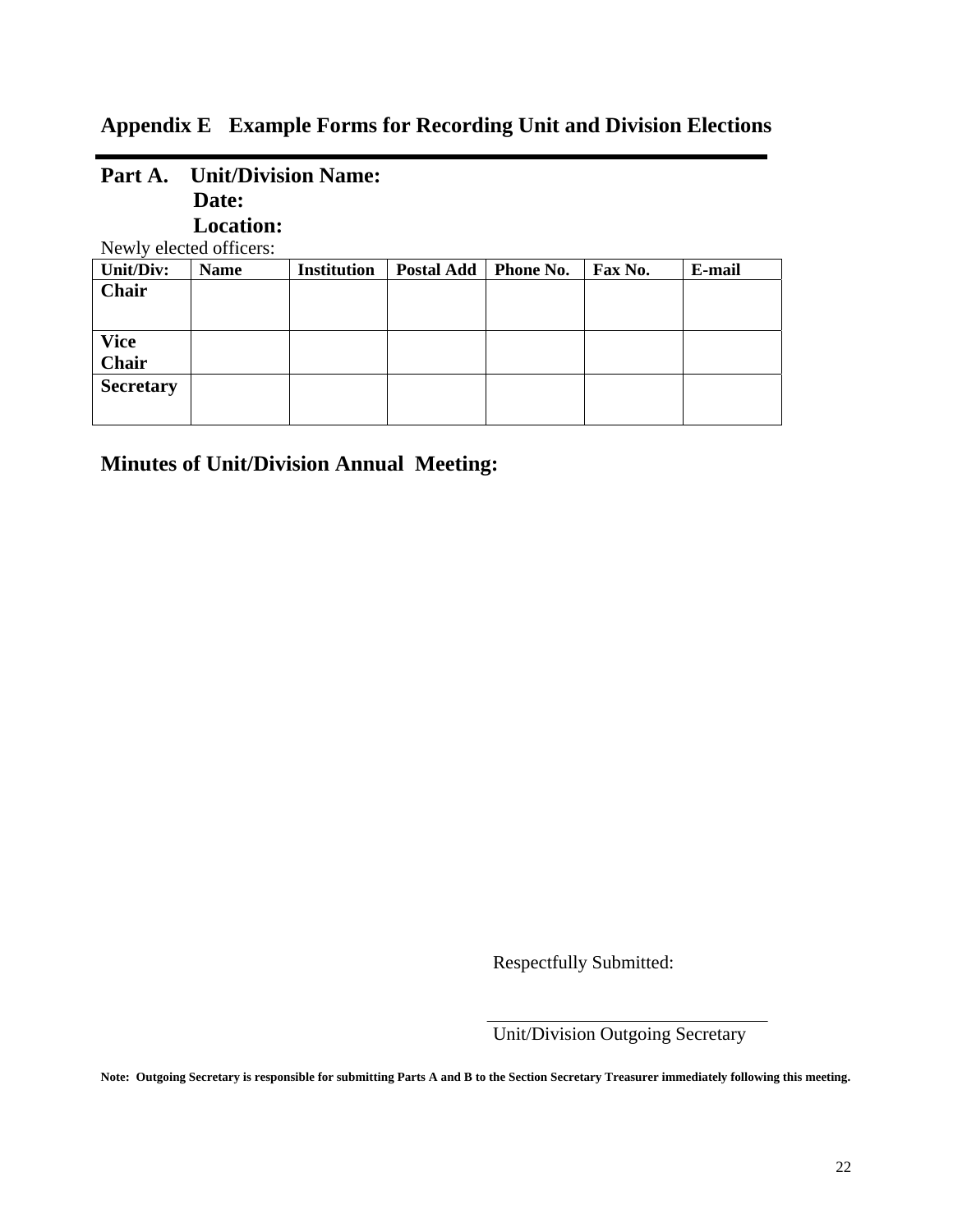## **Appendix E Example Forms for Recording Unit and Division Elections**

| Part A.          | <b>Unit/Division Name:</b> |                    |                   |           |         |        |
|------------------|----------------------------|--------------------|-------------------|-----------|---------|--------|
|                  | Date:                      |                    |                   |           |         |        |
|                  | <b>Location:</b>           |                    |                   |           |         |        |
|                  | Newly elected officers:    |                    |                   |           |         |        |
| Unit/Div:        | <b>Name</b>                | <b>Institution</b> | <b>Postal Add</b> | Phone No. | Fax No. | E-mail |
| <b>Chair</b>     |                            |                    |                   |           |         |        |
|                  |                            |                    |                   |           |         |        |
| <b>Vice</b>      |                            |                    |                   |           |         |        |
| <b>Chair</b>     |                            |                    |                   |           |         |        |
| <b>Secretary</b> |                            |                    |                   |           |         |        |
|                  |                            |                    |                   |           |         |        |

**Minutes of Unit/Division Annual Meeting:** 

Respectfully Submitted:

*Unit/Division Outgoing Secretary* 

**Note: Outgoing Secretary is responsible for submitting Parts A and B to the Section Secretary Treasurer immediately following this meeting.**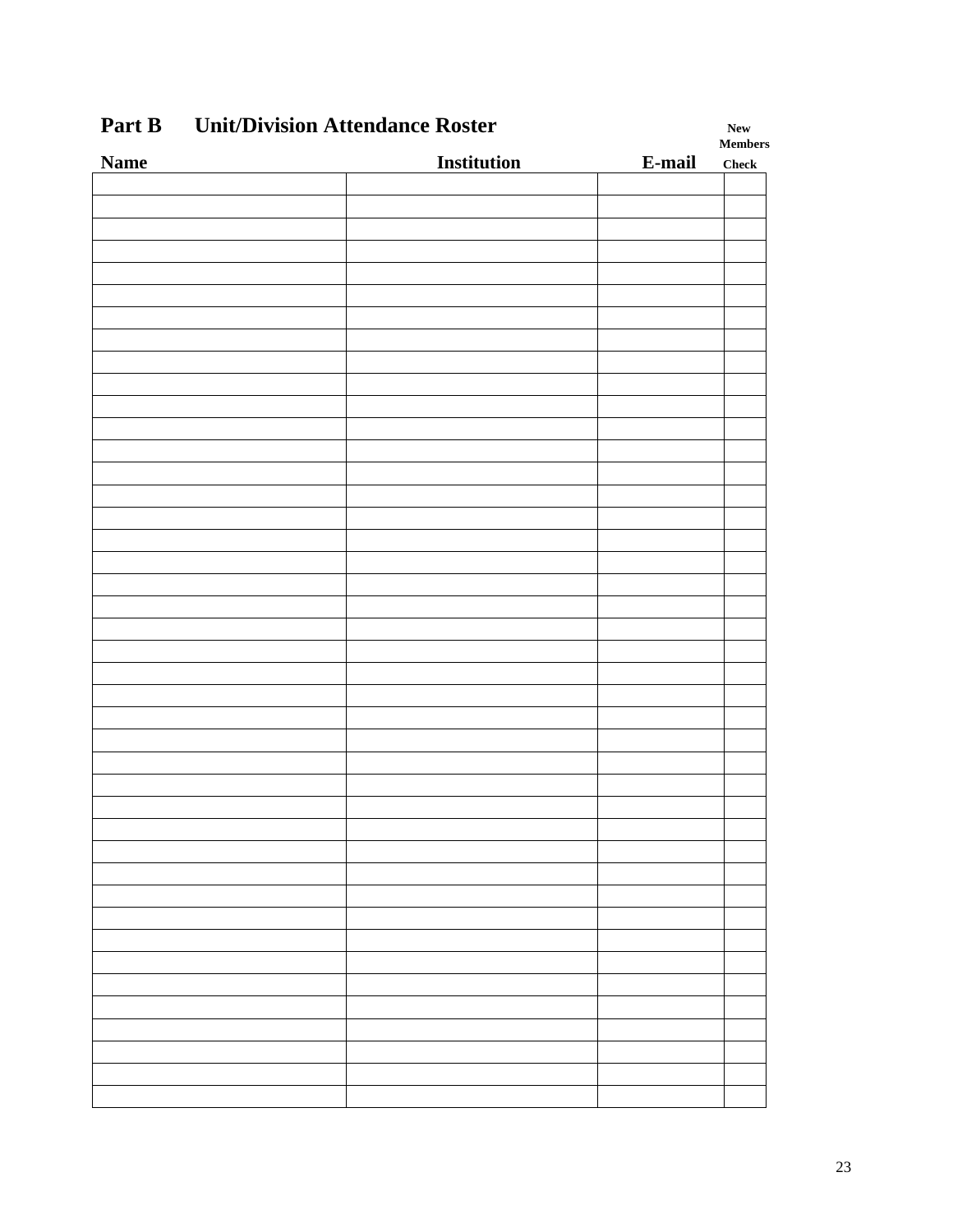| $\mathbf{u} \mathbf{u} \mathbf{v}$<br>CHRIDIVISION ARREHUMHEE ROSTEI |                    |        |                               |  |
|----------------------------------------------------------------------|--------------------|--------|-------------------------------|--|
| <b>Name</b>                                                          | <b>Institution</b> | E-mail | $\bf Members$<br><b>Check</b> |  |
|                                                                      |                    |        |                               |  |
|                                                                      |                    |        |                               |  |
|                                                                      |                    |        |                               |  |
|                                                                      |                    |        |                               |  |
|                                                                      |                    |        |                               |  |
|                                                                      |                    |        |                               |  |
|                                                                      |                    |        |                               |  |
|                                                                      |                    |        |                               |  |
|                                                                      |                    |        |                               |  |
|                                                                      |                    |        |                               |  |
|                                                                      |                    |        |                               |  |
|                                                                      |                    |        |                               |  |
|                                                                      |                    |        |                               |  |
|                                                                      |                    |        |                               |  |
|                                                                      |                    |        |                               |  |
|                                                                      |                    |        |                               |  |
|                                                                      |                    |        |                               |  |
|                                                                      |                    |        |                               |  |
|                                                                      |                    |        |                               |  |
|                                                                      |                    |        |                               |  |
|                                                                      |                    |        |                               |  |
|                                                                      |                    |        |                               |  |
|                                                                      |                    |        |                               |  |
|                                                                      |                    |        |                               |  |
|                                                                      |                    |        |                               |  |
|                                                                      |                    |        |                               |  |
|                                                                      |                    |        |                               |  |
|                                                                      |                    |        |                               |  |
|                                                                      |                    |        |                               |  |
|                                                                      |                    |        |                               |  |
|                                                                      |                    |        |                               |  |
|                                                                      |                    |        |                               |  |
|                                                                      |                    |        |                               |  |
|                                                                      |                    |        |                               |  |
|                                                                      |                    |        |                               |  |
|                                                                      |                    |        |                               |  |
|                                                                      |                    |        |                               |  |
|                                                                      |                    |        |                               |  |
|                                                                      |                    |        |                               |  |
|                                                                      |                    |        |                               |  |
|                                                                      |                    |        |                               |  |
|                                                                      |                    |        |                               |  |
|                                                                      |                    |        |                               |  |
|                                                                      |                    |        |                               |  |

## **Part B** Unit/Division Attendance Roster New New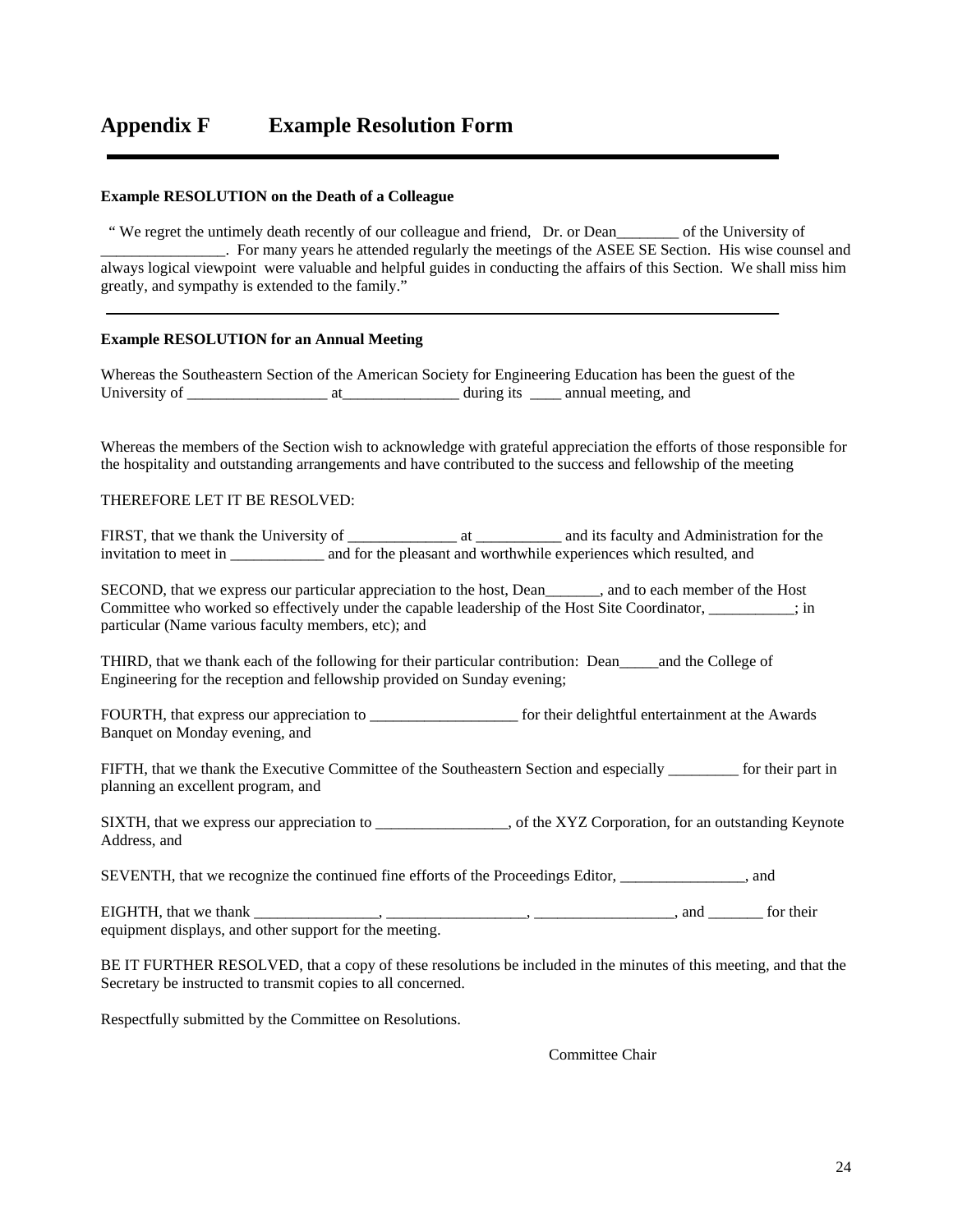#### **Example RESOLUTION on the Death of a Colleague**

 " We regret the untimely death recently of our colleague and friend, Dr. or Dean\_\_\_\_\_\_\_\_ of the University of \_\_\_\_\_\_\_\_\_\_\_\_\_\_\_\_. For many years he attended regularly the meetings of the ASEE SE Section. His wise counsel and always logical viewpoint were valuable and helpful guides in conducting the affairs of this Section. We shall miss him greatly, and sympathy is extended to the family."

#### **Example RESOLUTION for an Annual Meeting**

Whereas the Southeastern Section of the American Society for Engineering Education has been the guest of the University of \_\_\_\_\_\_\_\_\_\_\_\_\_\_\_\_\_\_ at\_\_\_\_\_\_\_\_\_\_\_\_\_\_\_ during its \_\_\_\_ annual meeting, and

Whereas the members of the Section wish to acknowledge with grateful appreciation the efforts of those responsible for the hospitality and outstanding arrangements and have contributed to the success and fellowship of the meeting

#### THEREFORE LET IT BE RESOLVED:

FIRST, that we thank the University of \_\_\_\_\_\_\_\_\_\_\_\_\_\_\_\_\_ at \_\_\_\_\_\_\_\_\_\_\_\_ and its faculty and Administration for the invitation to meet in and for the pleasant and worthwhile experiences which resulted, and

SECOND, that we express our particular appreciation to the host, Dean\_\_\_\_\_\_\_, and to each member of the Host Committee who worked so effectively under the capable leadership of the Host Site Coordinator,  $\frac{1}{1}$ ; in particular (Name various faculty members, etc); and

THIRD, that we thank each of the following for their particular contribution: Dean\_\_\_\_\_and the College of Engineering for the reception and fellowship provided on Sunday evening;

FOURTH, that express our appreciation to \_\_\_\_\_\_\_\_\_\_\_\_\_\_\_\_\_\_\_\_\_\_\_\_ for their delightful entertainment at the Awards Banquet on Monday evening, and

FIFTH, that we thank the Executive Committee of the Southeastern Section and especially \_\_\_\_\_\_\_\_\_ for their part in planning an excellent program, and

SIXTH, that we express our appreciation to \_\_\_\_\_\_\_\_\_\_\_\_\_\_, of the XYZ Corporation, for an outstanding Keynote Address, and

SEVENTH, that we recognize the continued fine efforts of the Proceedings Editor, \_\_\_\_\_\_\_\_\_\_\_\_\_\_\_\_, and

EIGHTH, that we thank \_\_\_\_\_\_\_\_\_\_\_\_\_\_\_\_, \_\_\_\_\_\_\_\_\_\_\_\_\_\_\_\_\_\_, \_\_\_\_\_\_\_\_\_\_\_\_\_\_\_\_\_\_, and \_\_\_\_\_\_\_ for their equipment displays, and other support for the meeting.

BE IT FURTHER RESOLVED, that a copy of these resolutions be included in the minutes of this meeting, and that the Secretary be instructed to transmit copies to all concerned.

Respectfully submitted by the Committee on Resolutions.

Committee Chair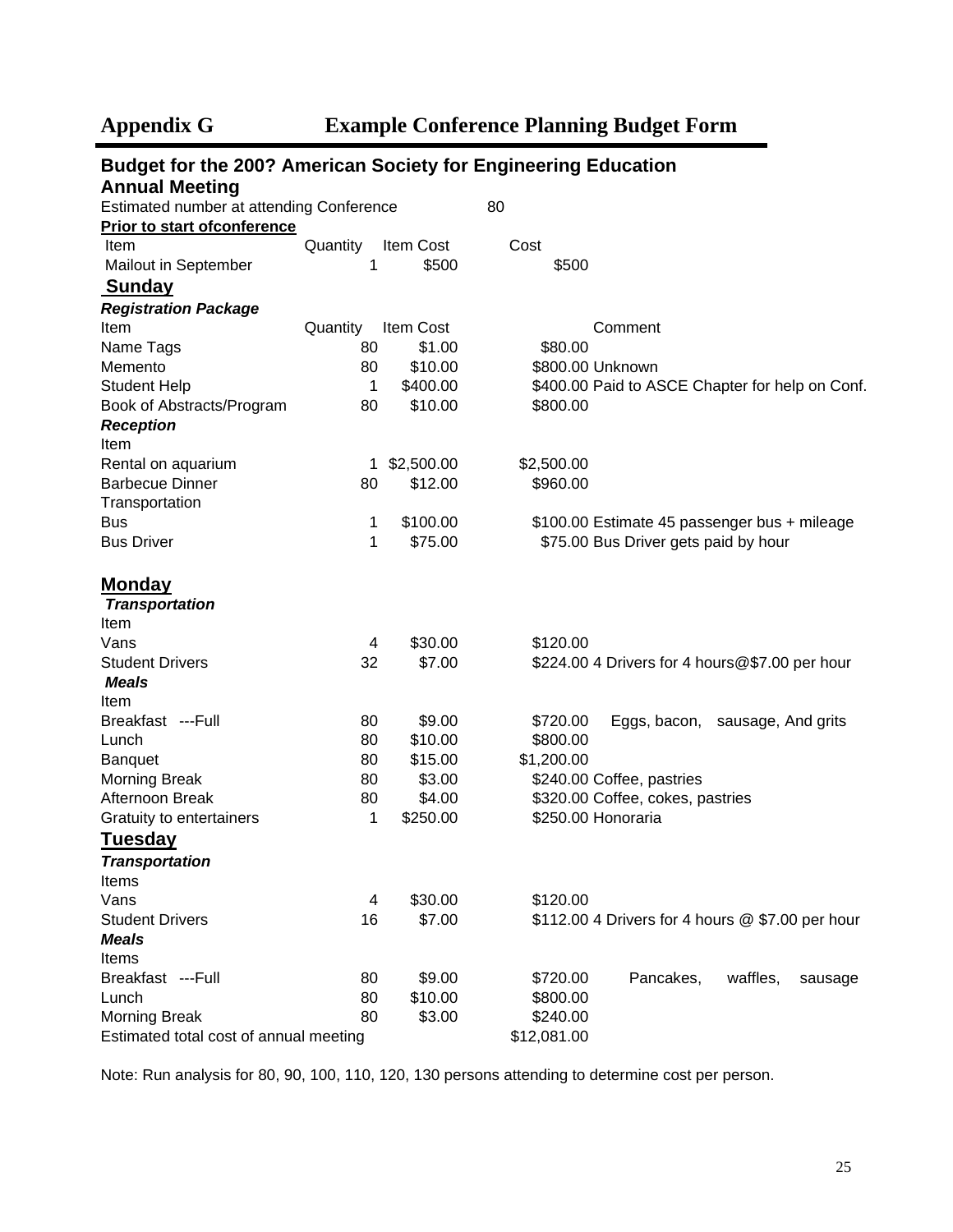| <b>Budget for the 200? American Society for Engineering Education</b> |          |            |                    |                                                  |  |  |
|-----------------------------------------------------------------------|----------|------------|--------------------|--------------------------------------------------|--|--|
| <b>Annual Meeting</b>                                                 |          |            |                    |                                                  |  |  |
| Estimated number at attending Conference                              |          |            | 80                 |                                                  |  |  |
| <b>Prior to start ofconference</b>                                    |          |            |                    |                                                  |  |  |
| Item                                                                  | Quantity | Item Cost  | Cost               |                                                  |  |  |
| Mailout in September                                                  | 1        | \$500      | \$500              |                                                  |  |  |
| <b>Sunday</b>                                                         |          |            |                    |                                                  |  |  |
| <b>Registration Package</b>                                           |          |            |                    |                                                  |  |  |
| Item                                                                  | Quantity | Item Cost  |                    | Comment                                          |  |  |
| Name Tags                                                             | 80       | \$1.00     | \$80.00            |                                                  |  |  |
| Memento                                                               | 80       | \$10.00    | \$800.00 Unknown   |                                                  |  |  |
| <b>Student Help</b>                                                   | 1        | \$400.00   |                    | \$400.00 Paid to ASCE Chapter for help on Conf.  |  |  |
| Book of Abstracts/Program                                             | 80       | \$10.00    | \$800.00           |                                                  |  |  |
| <b>Reception</b>                                                      |          |            |                    |                                                  |  |  |
| Item                                                                  |          |            |                    |                                                  |  |  |
| Rental on aquarium                                                    | 1        | \$2,500.00 | \$2,500.00         |                                                  |  |  |
| <b>Barbecue Dinner</b>                                                | 80       | \$12.00    | \$960.00           |                                                  |  |  |
| Transportation                                                        |          |            |                    |                                                  |  |  |
| <b>Bus</b>                                                            | 1        | \$100.00   |                    | \$100.00 Estimate 45 passenger bus + mileage     |  |  |
| <b>Bus Driver</b>                                                     | 1        | \$75.00    |                    | \$75.00 Bus Driver gets paid by hour             |  |  |
|                                                                       |          |            |                    |                                                  |  |  |
| <b>Monday</b><br><b>Transportation</b>                                |          |            |                    |                                                  |  |  |
| Item                                                                  |          |            |                    |                                                  |  |  |
| Vans                                                                  | 4        | \$30.00    | \$120.00           |                                                  |  |  |
| <b>Student Drivers</b>                                                | 32       | \$7.00     |                    | \$224.00 4 Drivers for 4 hours@\$7.00 per hour   |  |  |
| <b>Meals</b>                                                          |          |            |                    |                                                  |  |  |
| Item                                                                  |          |            |                    |                                                  |  |  |
| Breakfast ---Full                                                     | 80       | \$9.00     | \$720.00           | Eggs, bacon, sausage, And grits                  |  |  |
| Lunch                                                                 | 80       | \$10.00    | \$800.00           |                                                  |  |  |
| <b>Banquet</b>                                                        | 80       | \$15.00    | \$1,200.00         |                                                  |  |  |
| <b>Morning Break</b>                                                  | 80       | \$3.00     |                    | \$240.00 Coffee, pastries                        |  |  |
| Afternoon Break                                                       | 80       | \$4.00     |                    | \$320.00 Coffee, cokes, pastries                 |  |  |
| Gratuity to entertainers                                              | 1        | \$250.00   | \$250.00 Honoraria |                                                  |  |  |
| <u>Tuesday</u>                                                        |          |            |                    |                                                  |  |  |
| <b>Transportation</b>                                                 |          |            |                    |                                                  |  |  |
| Items                                                                 |          |            |                    |                                                  |  |  |
| Vans                                                                  | 4        | \$30.00    | \$120.00           |                                                  |  |  |
| <b>Student Drivers</b>                                                | 16       | \$7.00     |                    | \$112.00 4 Drivers for 4 hours @ \$7.00 per hour |  |  |
| <b>Meals</b>                                                          |          |            |                    |                                                  |  |  |
| Items                                                                 |          |            |                    |                                                  |  |  |
| Breakfast ---Full                                                     | 80       | \$9.00     | \$720.00           | Pancakes,<br>waffles,<br>sausage                 |  |  |
| Lunch                                                                 | 80       | \$10.00    | \$800.00           |                                                  |  |  |
| <b>Morning Break</b>                                                  | 80       | \$3.00     | \$240.00           |                                                  |  |  |
| Estimated total cost of annual meeting                                |          |            | \$12,081.00        |                                                  |  |  |

Note: Run analysis for 80, 90, 100, 110, 120, 130 persons attending to determine cost per person.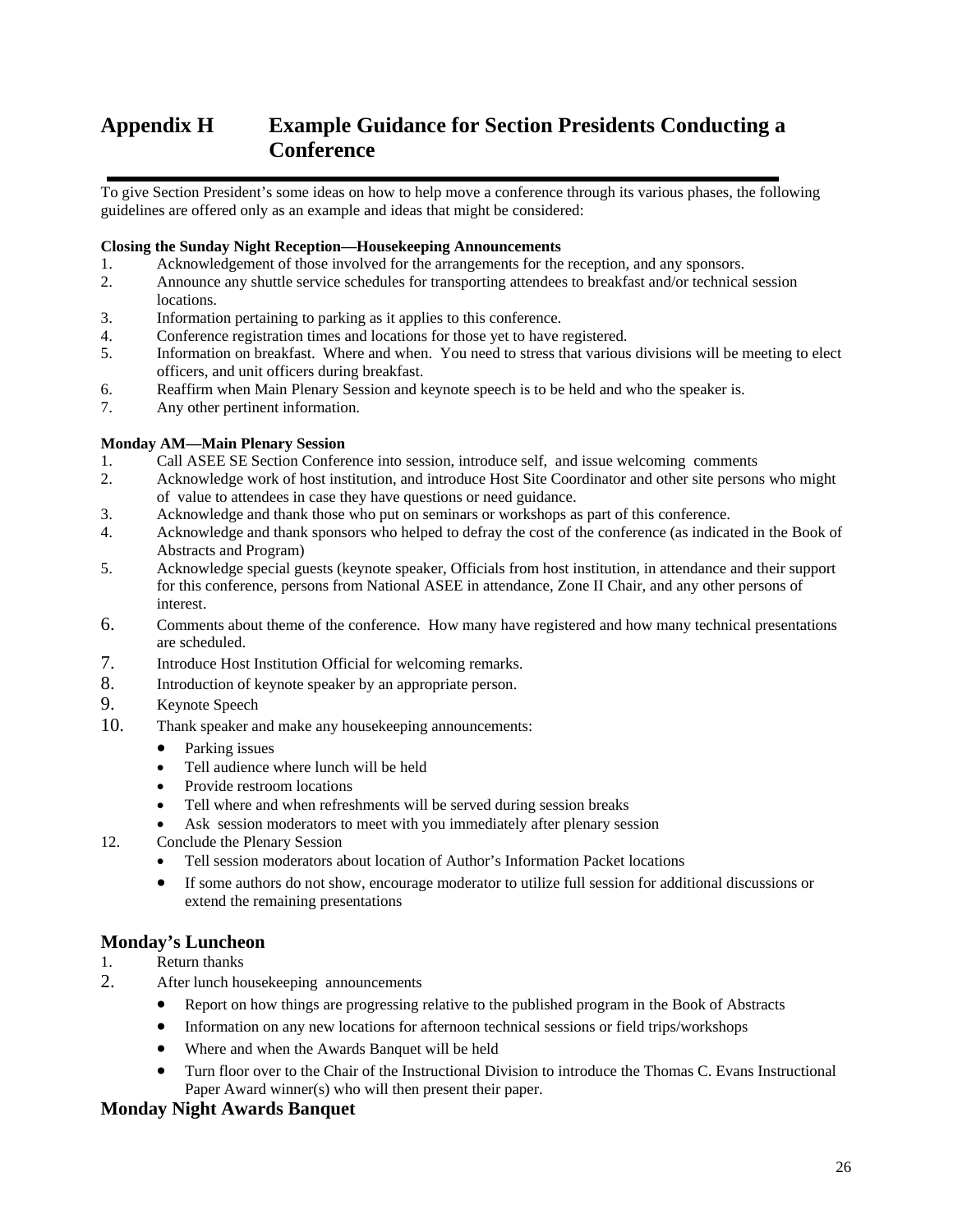## **Appendix H Example Guidance for Section Presidents Conducting a Conference**

To give Section President's some ideas on how to help move a conference through its various phases, the following guidelines are offered only as an example and ideas that might be considered:

#### **Closing the Sunday Night Reception—Housekeeping Announcements**

- 1. Acknowledgement of those involved for the arrangements for the reception, and any sponsors.
- 2. Announce any shuttle service schedules for transporting attendees to breakfast and/or technical session locations.
- 3. Information pertaining to parking as it applies to this conference.
- 4. Conference registration times and locations for those yet to have registered.
- 5. Information on breakfast. Where and when. You need to stress that various divisions will be meeting to elect officers, and unit officers during breakfast.
- 6. Reaffirm when Main Plenary Session and keynote speech is to be held and who the speaker is.
- 7. Any other pertinent information.

#### **Monday AM—Main Plenary Session**

- 1. Call ASEE SE Section Conference into session, introduce self, and issue welcoming comments
- 2. Acknowledge work of host institution, and introduce Host Site Coordinator and other site persons who might of value to attendees in case they have questions or need guidance.
- 3. Acknowledge and thank those who put on seminars or workshops as part of this conference.
- 4. Acknowledge and thank sponsors who helped to defray the cost of the conference (as indicated in the Book of Abstracts and Program)
- 5. Acknowledge special guests (keynote speaker, Officials from host institution, in attendance and their support for this conference, persons from National ASEE in attendance, Zone II Chair, and any other persons of interest.
- 6. Comments about theme of the conference. How many have registered and how many technical presentations are scheduled.
- 7. Introduce Host Institution Official for welcoming remarks.
- 8. Introduction of keynote speaker by an appropriate person.
- 9. Keynote Speech
- 10. Thank speaker and make any housekeeping announcements:
	- Parking issues
	- Tell audience where lunch will be held
	- Provide restroom locations
	- Tell where and when refreshments will be served during session breaks
	- Ask session moderators to meet with you immediately after plenary session
- 12. Conclude the Plenary Session
	- Tell session moderators about location of Author's Information Packet locations
	- If some authors do not show, encourage moderator to utilize full session for additional discussions or extend the remaining presentations

#### **Monday's Luncheon**

- 1. Return thanks
- 2. After lunch housekeeping announcements
	- Report on how things are progressing relative to the published program in the Book of Abstracts
	- Information on any new locations for afternoon technical sessions or field trips/workshops
	- Where and when the Awards Banquet will be held
	- Turn floor over to the Chair of the Instructional Division to introduce the Thomas C. Evans Instructional Paper Award winner(s) who will then present their paper.

#### **Monday Night Awards Banquet**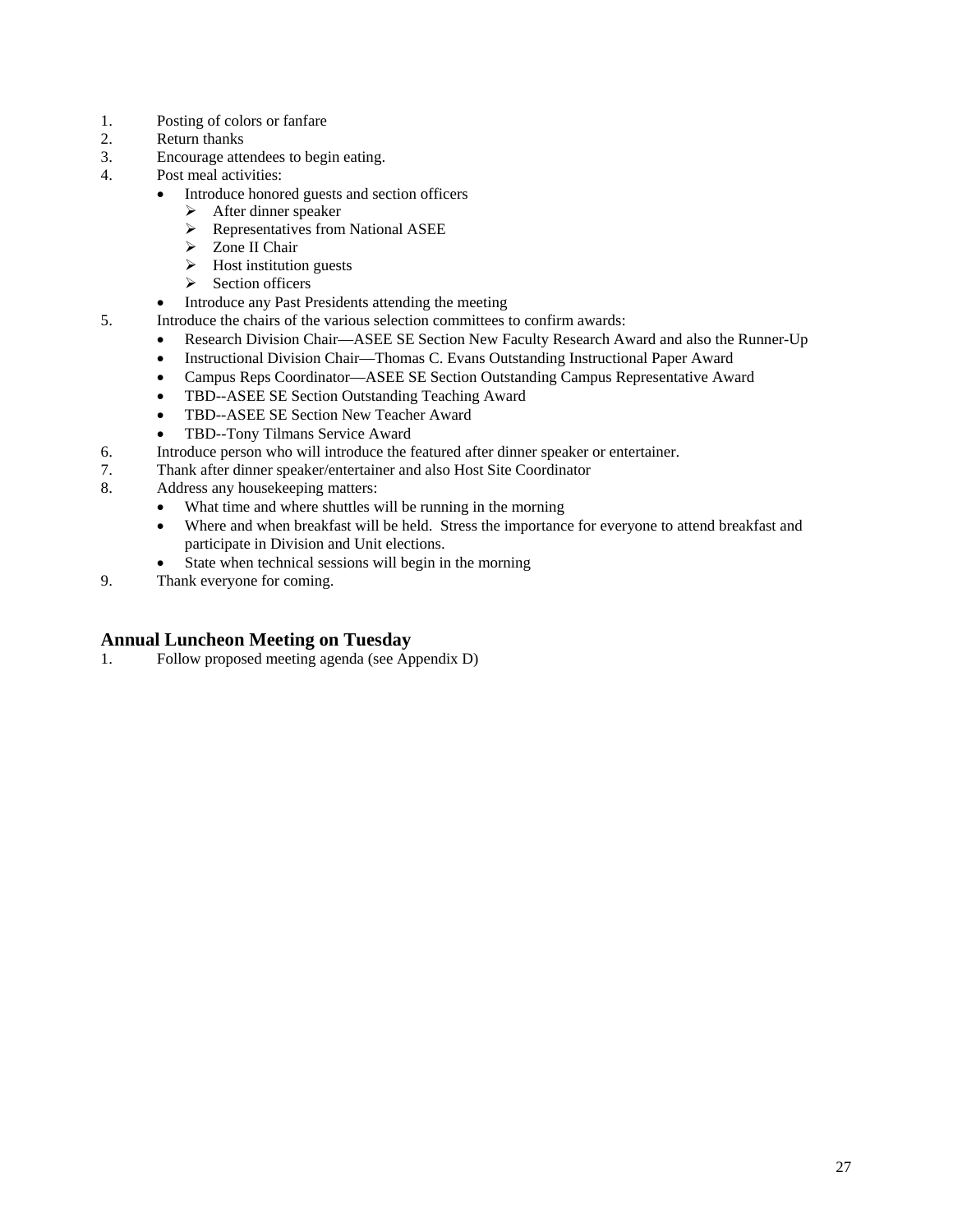- 1. Posting of colors or fanfare
- 2. Return thanks
- 3. Encourage attendees to begin eating.
- 4. Post meal activities:
	- Introduce honored guests and section officers
		- $\triangleright$  After dinner speaker
		- $\triangleright$  Representatives from National ASEE
		- > Zone II Chair
		- $\triangleright$  Host institution guests
		- ¾ Section officers
	- Introduce any Past Presidents attending the meeting
- 5. Introduce the chairs of the various selection committees to confirm awards:
	- Research Division Chair—ASEE SE Section New Faculty Research Award and also the Runner-Up
	- Instructional Division Chair—Thomas C. Evans Outstanding Instructional Paper Award
	- Campus Reps Coordinator—ASEE SE Section Outstanding Campus Representative Award
	- TBD--ASEE SE Section Outstanding Teaching Award
	- TBD--ASEE SE Section New Teacher Award
	- TBD--Tony Tilmans Service Award
- 6. Introduce person who will introduce the featured after dinner speaker or entertainer.
- 7. Thank after dinner speaker/entertainer and also Host Site Coordinator
- 8. Address any housekeeping matters:
	- What time and where shuttles will be running in the morning
	- Where and when breakfast will be held. Stress the importance for everyone to attend breakfast and participate in Division and Unit elections.
	- State when technical sessions will begin in the morning
- 9. Thank everyone for coming.

### **Annual Luncheon Meeting on Tuesday**

1. Follow proposed meeting agenda (see Appendix D)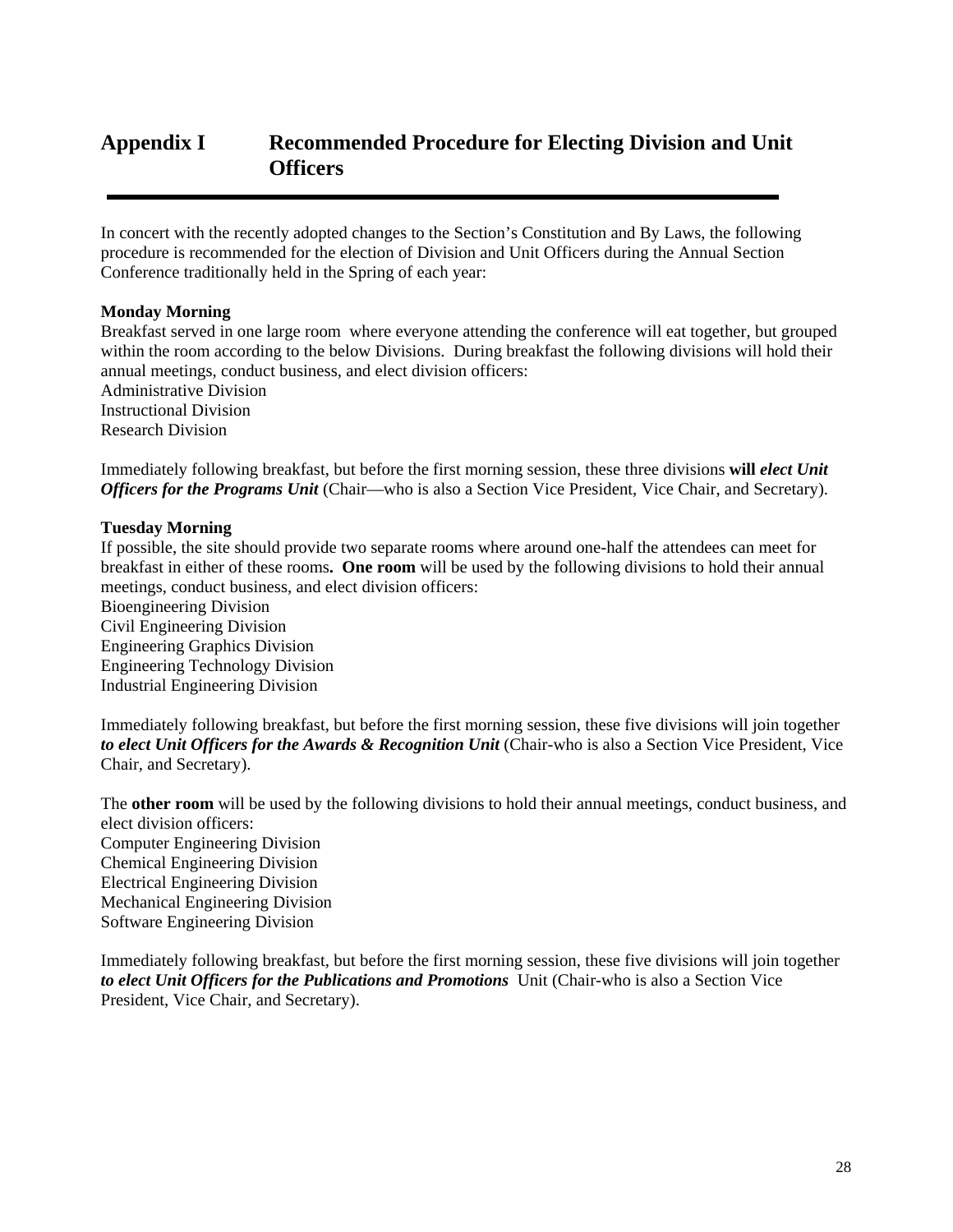## **Appendix I Recommended Procedure for Electing Division and Unit Officers**

In concert with the recently adopted changes to the Section's Constitution and By Laws, the following procedure is recommended for the election of Division and Unit Officers during the Annual Section Conference traditionally held in the Spring of each year:

#### **Monday Morning**

Breakfast served in one large room where everyone attending the conference will eat together, but grouped within the room according to the below Divisions. During breakfast the following divisions will hold their annual meetings, conduct business, and elect division officers: Administrative Division

Instructional Division Research Division

Immediately following breakfast, but before the first morning session, these three divisions **will** *elect Unit Officers for the Programs Unit* (Chair—who is also a Section Vice President, Vice Chair, and Secretary).

#### **Tuesday Morning**

If possible, the site should provide two separate rooms where around one-half the attendees can meet for breakfast in either of these rooms**. One room** will be used by the following divisions to hold their annual meetings, conduct business, and elect division officers:

Bioengineering Division Civil Engineering Division Engineering Graphics Division Engineering Technology Division Industrial Engineering Division

Immediately following breakfast, but before the first morning session, these five divisions will join together to elect Unit Officers for the Awards & Recognition Unit (Chair-who is also a Section Vice President, Vice Chair, and Secretary).

The **other room** will be used by the following divisions to hold their annual meetings, conduct business, and elect division officers: Computer Engineering Division Chemical Engineering Division Electrical Engineering Division Mechanical Engineering Division Software Engineering Division

Immediately following breakfast, but before the first morning session, these five divisions will join together *to elect Unit Officers for the Publications and Promotions* Unit (Chair-who is also a Section Vice President, Vice Chair, and Secretary).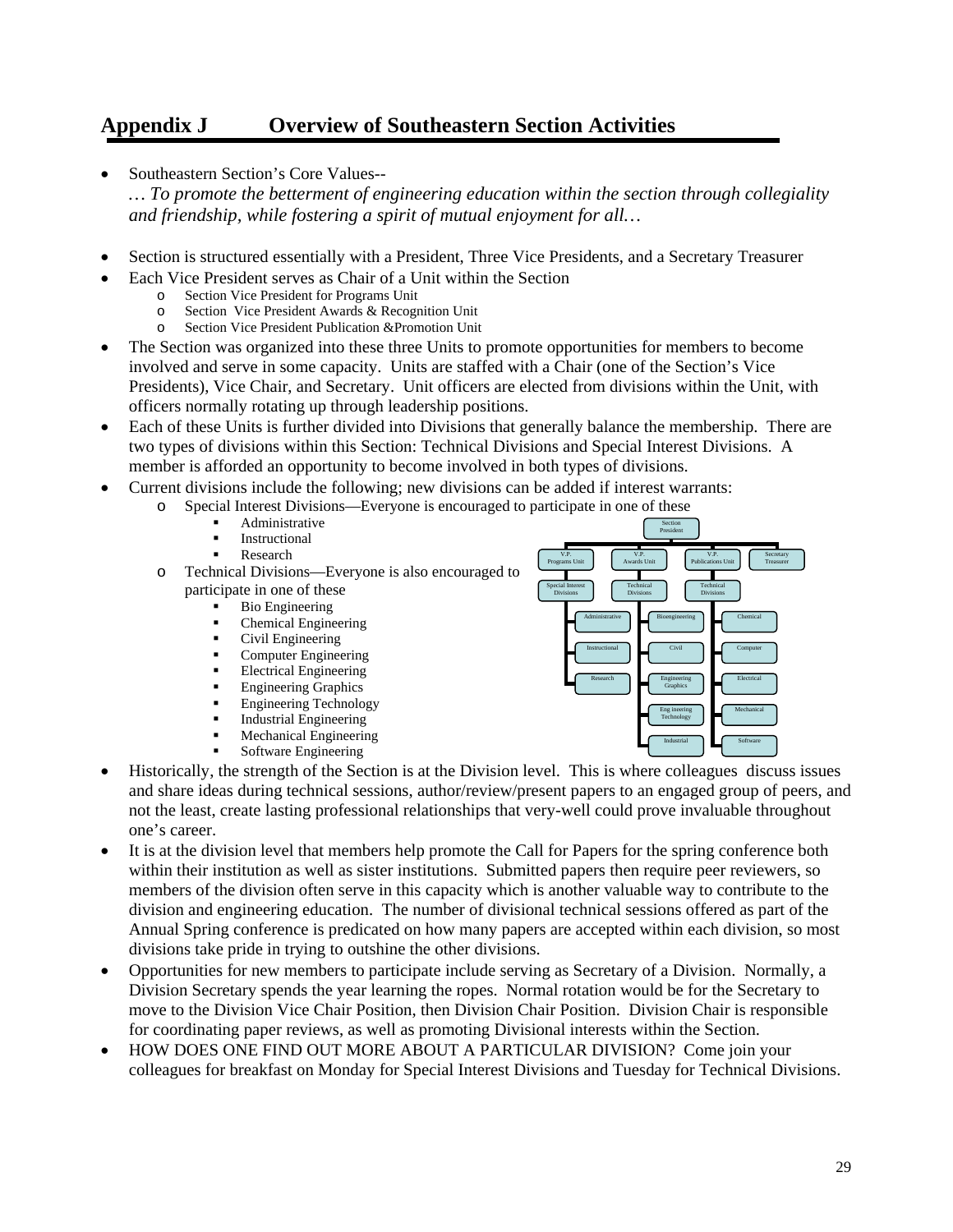## **Appendix J Overview of Southeastern Section Activities**

- Southeastern Section's Core Values-- *… To promote the betterment of engineering education within the section through collegiality and friendship, while fostering a spirit of mutual enjoyment for all…*
- Section is structured essentially with a President, Three Vice Presidents, and a Secretary Treasurer
- Each Vice President serves as Chair of a Unit within the Section
	- o Section Vice President for Programs Unit
		- o Section Vice President Awards & Recognition Unit
		- o Section Vice President Publication &Promotion Unit
- The Section was organized into these three Units to promote opportunities for members to become involved and serve in some capacity. Units are staffed with a Chair (one of the Section's Vice Presidents), Vice Chair, and Secretary. Unit officers are elected from divisions within the Unit, with officers normally rotating up through leadership positions.
- Each of these Units is further divided into Divisions that generally balance the membership. There are two types of divisions within this Section: Technical Divisions and Special Interest Divisions. A member is afforded an opportunity to become involved in both types of divisions.

Section President

Civil Engineering **Graphics** Eng ineering Technology Industrial

V.P. Publications Unit **Secretary** Treasurer

Chemical Computer Electrical Mechanical Software

Technical Divisions

V.P. Awards Unit

> Technical Divisions

Administrative Bioengineering

Instructional Research

V.P. Programs Unit

Special Interest Divisions

- Current divisions include the following; new divisions can be added if interest warrants:
	- Special Interest Divisions—Everyone is encouraged to participate in one of these
		- Administrative
		- Instructional
		- Research
	- o Technical Divisions—Everyone is also encouraged to participate in one of these
		- Bio Engineering
			- Chemical Engineering
			- Civil Engineering
			- Computer Engineering
			- Electrical Engineering
			- Engineering Graphics
			- Engineering Technology
			- Industrial Engineering
			- Mechanical Engineering
			- Software Engineering
- Historically, the strength of the Section is at the Division level. This is where colleagues discuss issues and share ideas during technical sessions, author/review/present papers to an engaged group of peers, and not the least, create lasting professional relationships that very-well could prove invaluable throughout one's career.
- It is at the division level that members help promote the Call for Papers for the spring conference both within their institution as well as sister institutions. Submitted papers then require peer reviewers, so members of the division often serve in this capacity which is another valuable way to contribute to the division and engineering education. The number of divisional technical sessions offered as part of the Annual Spring conference is predicated on how many papers are accepted within each division, so most divisions take pride in trying to outshine the other divisions.
- Opportunities for new members to participate include serving as Secretary of a Division. Normally, a Division Secretary spends the year learning the ropes. Normal rotation would be for the Secretary to move to the Division Vice Chair Position, then Division Chair Position. Division Chair is responsible for coordinating paper reviews, as well as promoting Divisional interests within the Section.
- HOW DOES ONE FIND OUT MORE ABOUT A PARTICULAR DIVISION? Come join your colleagues for breakfast on Monday for Special Interest Divisions and Tuesday for Technical Divisions.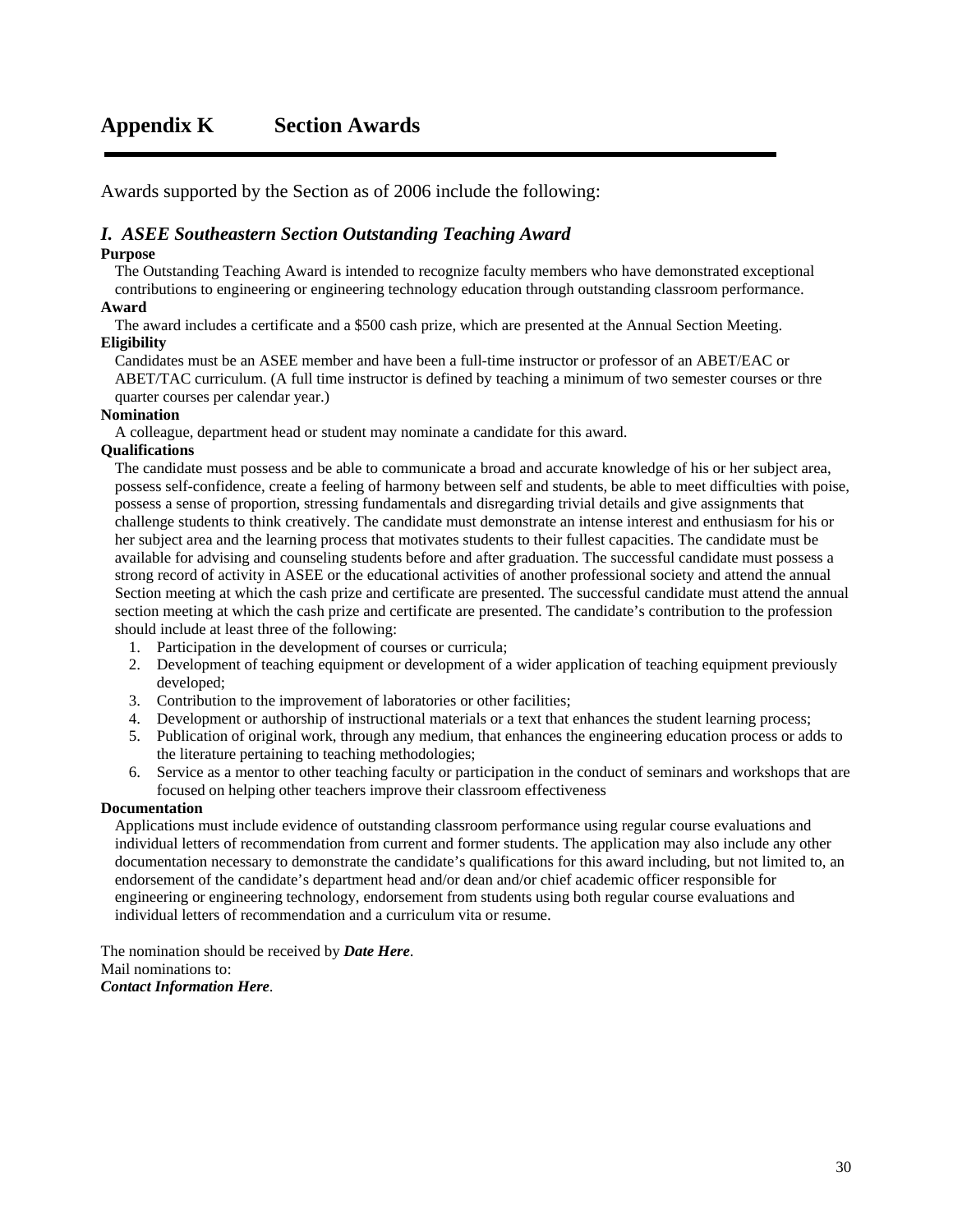Awards supported by the Section as of 2006 include the following:

#### *I. ASEE Southeastern Section Outstanding Teaching Award*

#### **Purpose**

The Outstanding Teaching Award is intended to recognize faculty members who have demonstrated exceptional contributions to engineering or engineering technology education through outstanding classroom performance.

#### **Award**

The award includes a certificate and a \$500 cash prize, which are presented at the Annual Section Meeting. **Eligibility** 

Candidates must be an ASEE member and have been a full-time instructor or professor of an ABET/EAC or ABET/TAC curriculum. (A full time instructor is defined by teaching a minimum of two semester courses or thre quarter courses per calendar year.)

#### **Nomination**

A colleague, department head or student may nominate a candidate for this award.

#### **Qualifications**

The candidate must possess and be able to communicate a broad and accurate knowledge of his or her subject area, possess self-confidence, create a feeling of harmony between self and students, be able to meet difficulties with poise, possess a sense of proportion, stressing fundamentals and disregarding trivial details and give assignments that challenge students to think creatively. The candidate must demonstrate an intense interest and enthusiasm for his or her subject area and the learning process that motivates students to their fullest capacities. The candidate must be available for advising and counseling students before and after graduation. The successful candidate must possess a strong record of activity in ASEE or the educational activities of another professional society and attend the annual Section meeting at which the cash prize and certificate are presented. The successful candidate must attend the annual section meeting at which the cash prize and certificate are presented. The candidate's contribution to the profession should include at least three of the following:

- 1. Participation in the development of courses or curricula;
- 2. Development of teaching equipment or development of a wider application of teaching equipment previously developed;
- 3. Contribution to the improvement of laboratories or other facilities;
- 4. Development or authorship of instructional materials or a text that enhances the student learning process;
- 5. Publication of original work, through any medium, that enhances the engineering education process or adds to the literature pertaining to teaching methodologies;
- 6. Service as a mentor to other teaching faculty or participation in the conduct of seminars and workshops that are focused on helping other teachers improve their classroom effectiveness

#### **Documentation**

Applications must include evidence of outstanding classroom performance using regular course evaluations and individual letters of recommendation from current and former students. The application may also include any other documentation necessary to demonstrate the candidate's qualifications for this award including, but not limited to, an endorsement of the candidate's department head and/or dean and/or chief academic officer responsible for engineering or engineering technology, endorsement from students using both regular course evaluations and individual letters of recommendation and a curriculum vita or resume.

The nomination should be received by *Date Here*. Mail nominations to: *Contact Information Here*.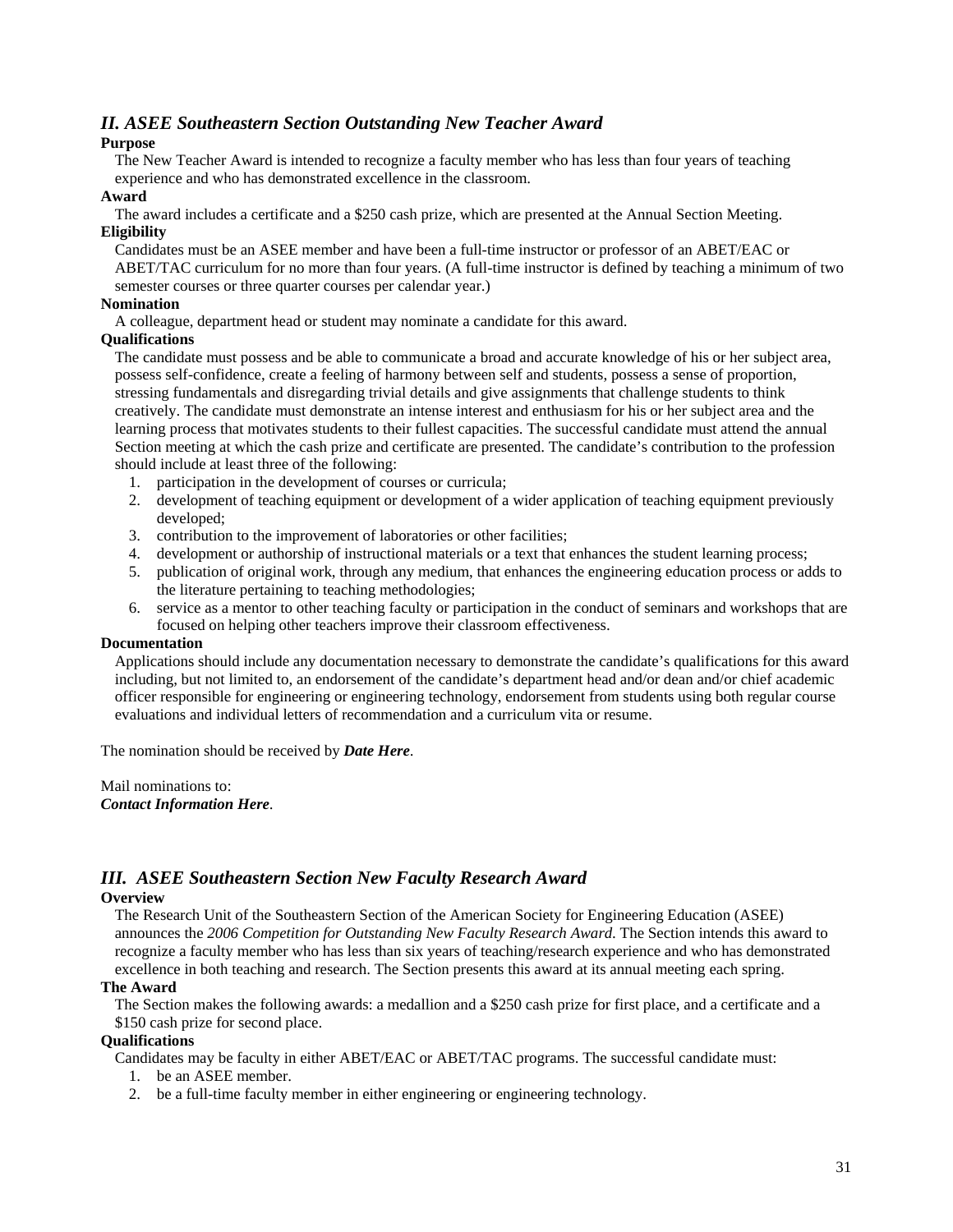#### *II. ASEE Southeastern Section Outstanding New Teacher Award*

#### **Purpose**

The New Teacher Award is intended to recognize a faculty member who has less than four years of teaching experience and who has demonstrated excellence in the classroom.

#### **Award**

The award includes a certificate and a \$250 cash prize, which are presented at the Annual Section Meeting. **Eligibility** 

Candidates must be an ASEE member and have been a full-time instructor or professor of an ABET/EAC or ABET/TAC curriculum for no more than four years. (A full-time instructor is defined by teaching a minimum of two semester courses or three quarter courses per calendar year.)

#### **Nomination**

A colleague, department head or student may nominate a candidate for this award.

#### **Qualifications**

The candidate must possess and be able to communicate a broad and accurate knowledge of his or her subject area, possess self-confidence, create a feeling of harmony between self and students, possess a sense of proportion, stressing fundamentals and disregarding trivial details and give assignments that challenge students to think creatively. The candidate must demonstrate an intense interest and enthusiasm for his or her subject area and the learning process that motivates students to their fullest capacities. The successful candidate must attend the annual Section meeting at which the cash prize and certificate are presented. The candidate's contribution to the profession should include at least three of the following:

- 1. participation in the development of courses or curricula;
- 2. development of teaching equipment or development of a wider application of teaching equipment previously developed;
- 3. contribution to the improvement of laboratories or other facilities;
- 4. development or authorship of instructional materials or a text that enhances the student learning process;
- 5. publication of original work, through any medium, that enhances the engineering education process or adds to the literature pertaining to teaching methodologies;
- 6. service as a mentor to other teaching faculty or participation in the conduct of seminars and workshops that are focused on helping other teachers improve their classroom effectiveness.

#### **Documentation**

Applications should include any documentation necessary to demonstrate the candidate's qualifications for this award including, but not limited to, an endorsement of the candidate's department head and/or dean and/or chief academic officer responsible for engineering or engineering technology, endorsement from students using both regular course evaluations and individual letters of recommendation and a curriculum vita or resume.

The nomination should be received by *Date Here*.

Mail nominations to: *Contact Information Here*.

### *III. ASEE Southeastern Section New Faculty Research Award*

### **Overview**

The Research Unit of the Southeastern Section of the American Society for Engineering Education (ASEE) announces the *2006 Competition for Outstanding New Faculty Research Award*. The Section intends this award to recognize a faculty member who has less than six years of teaching/research experience and who has demonstrated excellence in both teaching and research. The Section presents this award at its annual meeting each spring.

#### **The Award**

The Section makes the following awards: a medallion and a \$250 cash prize for first place, and a certificate and a \$150 cash prize for second place.

#### **Qualifications**

Candidates may be faculty in either ABET/EAC or ABET/TAC programs. The successful candidate must:

- 1. be an ASEE member.
- 2. be a full-time faculty member in either engineering or engineering technology.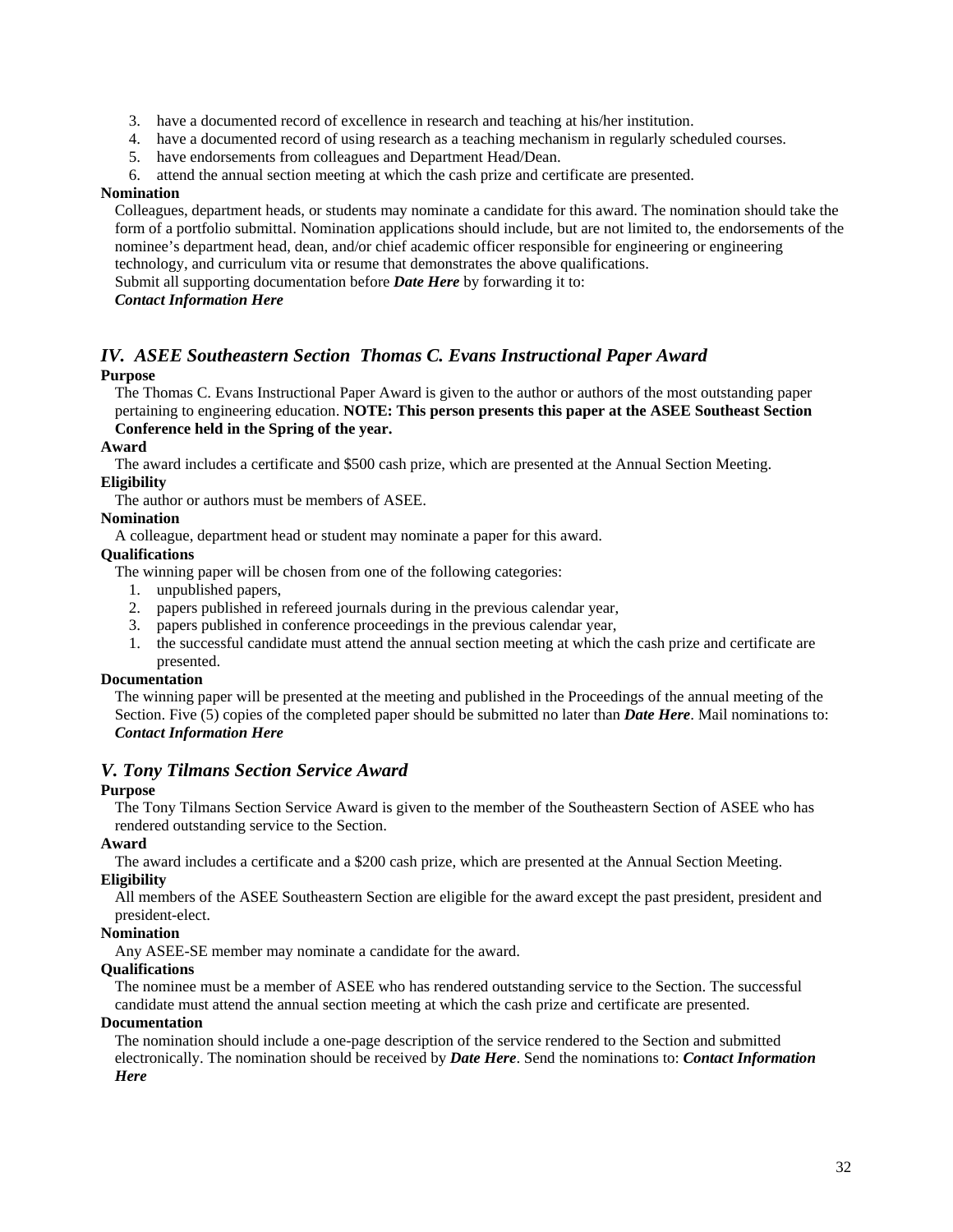- 3. have a documented record of excellence in research and teaching at his/her institution.
- 4. have a documented record of using research as a teaching mechanism in regularly scheduled courses.
- 5. have endorsements from colleagues and Department Head/Dean.
- 6. attend the annual section meeting at which the cash prize and certificate are presented.

#### **Nomination**

Colleagues, department heads, or students may nominate a candidate for this award. The nomination should take the form of a portfolio submittal. Nomination applications should include, but are not limited to, the endorsements of the nominee's department head, dean, and/or chief academic officer responsible for engineering or engineering technology, and curriculum vita or resume that demonstrates the above qualifications.

Submit all supporting documentation before *Date Here* by forwarding it to:

#### *Contact Information Here*

#### *IV. ASEE Southeastern Section Thomas C. Evans Instructional Paper Award*  **Purpose**

The Thomas C. Evans Instructional Paper Award is given to the author or authors of the most outstanding paper pertaining to engineering education. **NOTE: This person presents this paper at the ASEE Southeast Section Conference held in the Spring of the year.**

#### **Award**

The award includes a certificate and \$500 cash prize, which are presented at the Annual Section Meeting.

#### **Eligibility**

The author or authors must be members of ASEE.

#### **Nomination**

A colleague, department head or student may nominate a paper for this award.

#### **Qualifications**

The winning paper will be chosen from one of the following categories:

- 1. unpublished papers,
- 2. papers published in refereed journals during in the previous calendar year,
- 3. papers published in conference proceedings in the previous calendar year,
- 1. the successful candidate must attend the annual section meeting at which the cash prize and certificate are presented.

#### **Documentation**

The winning paper will be presented at the meeting and published in the Proceedings of the annual meeting of the Section. Five (5) copies of the completed paper should be submitted no later than *Date Here*. Mail nominations to: *Contact Information Here* 

#### *V. Tony Tilmans Section Service Award*

#### **Purpose**

The Tony Tilmans Section Service Award is given to the member of the Southeastern Section of ASEE who has rendered outstanding service to the Section.

#### **Award**

The award includes a certificate and a \$200 cash prize, which are presented at the Annual Section Meeting. **Eligibility** 

All members of the ASEE Southeastern Section are eligible for the award except the past president, president and president-elect.

### **Nomination**

Any ASEE-SE member may nominate a candidate for the award.

#### **Qualifications**

The nominee must be a member of ASEE who has rendered outstanding service to the Section. The successful candidate must attend the annual section meeting at which the cash prize and certificate are presented.

#### **Documentation**

The nomination should include a one-page description of the service rendered to the Section and submitted electronically. The nomination should be received by *Date Here*. Send the nominations to: *Contact Information Here*